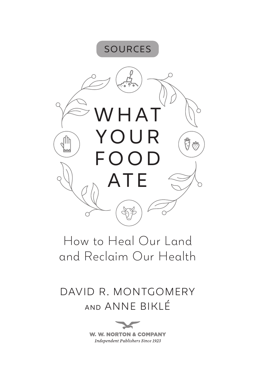

# How to Heal Our Land and Reclaim Our Health

# DAVID R. MONTGOMERY AND ANNE BIKLÉ

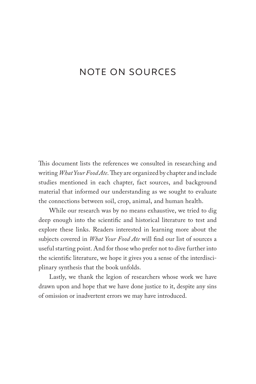## NOTE ON SOURCES

This document lists the references we consulted in researching and writing *What Your Food Ate*. They are organized by chapter and include studies mentioned in each chapter, fact sources, and background material that informed our understanding as we sought to evaluate the connections between soil, crop, animal, and human health.

While our research was by no means exhaustive, we tried to dig deep enough into the scientific and historical literature to test and explore these links. Readers interested in learning more about the subjects covered in *What Your Food Ate* will find our list of sources a useful starting point. And for those who prefer not to dive further into the scientific literature, we hope it gives you a sense of the interdisciplinary synthesis that the book unfolds.

Lastly, we thank the legion of researchers whose work we have drawn upon and hope that we have done justice to it, despite any sins of omission or inadvertent errors we may have introduced.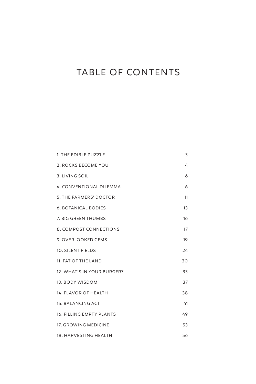## TABLE OF CONTENTS

| 1. THE EDIBLE PUZZLE           | 3  |
|--------------------------------|----|
| 2. ROCKS BECOME YOU            | 4  |
| 3. LIVING SOIL                 | 6  |
| <b>4. CONVENTIONAL DILEMMA</b> | 6  |
| 5. THE FARMERS' DOCTOR         | 11 |
| <b>6. BOTANICAL BODIES</b>     | 13 |
| 7. BIG GREEN THUMBS            | 16 |
| 8. COMPOST CONNECTIONS         | 17 |
| 9. OVERLOOKED GEMS             | 19 |
| 10. SILENT FIELDS              | 24 |
| 11. FAT OF THE LAND            | 30 |
| 12. WHAT'S IN YOUR BURGER?     | 33 |
| 13. BODY WISDOM                | 37 |
| 14. FLAVOR OF HEALTH           | 38 |
| 15. BALANCING ACT              | 41 |
| 16. FILLING EMPTY PLANTS       | 49 |
| 17. GROWING MEDICINE           | 53 |
| 18. HARVESTING HEALTH          | 56 |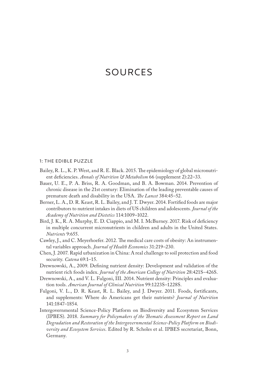## 1: THE EDIBLE PUZZLE

- Bailey, R. L., K. P. West, and R. E. Black. 2015. The epidemiology of global micronutrient deficiencies. *Annals of Nutrition & Metabolism* 66 (supplement 2):22–33.
- Bauer, U. E., P. A. Briss, R. A. Goodman, and B. A. Bowman. 2014. Prevention of chronic disease in the 21st century: Elimination of the leading preventable causes of premature death and disability in the USA. *The Lancet* 384:45–52.
- Berner, L. A., D. R. Keast, R. L. Bailey, and J. T. Dwyer. 2014. Fortified foods are major contributors to nutrient intakes in diets of US children and adolescents*. Journal of the Academy of Nutrition and Dietetics* 114:1009–1022.
- Bird, J. K., R. A. Murphy, E. D. Ciappio, and M. I. McBurney. 2017. Risk of deficiency in multiple concurrent micronutrients in children and adults in the United States. *Nutrients* 9:655.
- Cawley, J., and C. Meyerhoefer. 2012. The medical care costs of obesity: An instrumental variables approach. *Journal of Health Economics* 31:219–230.
- Chen, J. 2007. Rapid urbanization in China: A real challenge to soil protection and food security. *Catena* 69:1–15.
- Drewnowski, A., 2009. Defining nutrient density: Development and validation of the nutrient rich foods index. *Journal of the American College of Nutrition* 28:421S–426S.
- Drewnowski, A., and V. L. Fulgoni, III. 2014. Nutrient density: Principles and evaluation tools. *American Journal of Clinical Nutrition* 99:1223S–1228S.
- Fulgoni, V. L., D. R. Keast, R. L. Bailey, and J. Dwyer. 2011. Foods, fortificants, and supplements: Where do Americans get their nutrients? *Journal of Nutrition* 141:1847–1854.
- Intergovernmental Science-Policy Platform on Biodiversity and Ecosystem Services (IPBES). 2018. *Summary for Policymakers of the Thematic Assessment Report on Land Degradation and Restoration of the Intergovernmental Science-Policy Platform on Biodiversity and Ecosystem Services*. Edited by R. Scholes et al. IPBES secretariat, Bonn, Germany.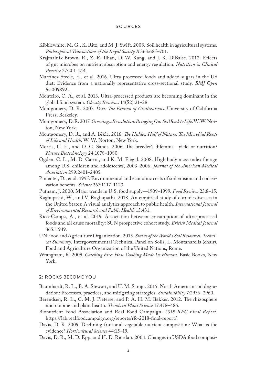- Kibblewhite, M. G., K. Ritz, and M. J. Swift. 2008. Soil health in agricultural systems. *Philosophical Transactions of the Royal Society B* 363:685–701.
- Krajmalnik-Brown, R., Z.-E. Ilhan, D.-W. Kang, and J. K. DiBaise. 2012. Effects of gut microbes on nutrient absorption and energy regulation. *Nutrition in Clinical Practice* 27:201–214.
- Martínez Steele, E., et al. 2016. Ultra-processed foods and added sugars in the US diet: Evidence from a nationally representative cross-sectional study. *BMJ Open* 6:e009892.
- Monteiro, C. A., et al. 2013. Ultra-processed products are becoming dominant in the global food system. *Obesity Reviews* 14(S2):21–28.
- Montgomery, D. R. 2007. *Dirt: The Erosion of Civilizations*. University of California Press, Berkeley.
- Montgomery, D. R. 2017. *Growing a Revolution: Bringing Our Soil Back to Life*. W. W. Norton, New York.
- Montgomery, D. R., and A. Biklé. 2016. *The Hidden Half of Nature: The Microbial Roots of Life and Health*. W. W. Norton, New York.
- Morris, C. E., and D. C. Sands. 2006. The breeder's dilemma—yield or nutrition? *Nature Biotechnology* 24:1078–1080.
- Ogden, C. L., M. D. Carrol, and K. M. Flegal. 2008. High body mass index for age among U.S. children and adolescents, 2003–2006. *Journal of the American Medical Association* 299:2401–2405.
- Pimentel, D., et al. 1995. Environmental and economic costs of soil erosion and conservation benefits. *Science* 267:1117–1123.
- Putnam, J. 2000. Major trends in U.S. food supply—1909–1999. *Food Review* 23:8–15.
- Raghupathi, W., and V. Raghupathi. 2018. An empirical study of chronic diseases in the United States: A visual analytics approach to public health. *International Journal of Environmental Research and Public Health* 15:431.
- Rico-Campa, A., et al. 2019. Association between consumption of ultra-processed foods and all cause mortality: SUN prospective cohort study. *British Medical Journal* 365:l1949.
- UN Food and Agriculture Organization. 2015. *Status of the World's Soil Resources, Technical Summary*. Intergovernmental Technical Panel on Soils, L. Montanarella (chair), Food and Agriculture Organization of the United Nations, Rome.
- Wrangham, R. 2009. *Catching Fire: How Cooking Made Us Human*. Basic Books, New York.

## 2: ROCKS BECOME YOU

- Baumhardt, R. L., B. A. Stewart, and U. M. Sainju. 2015. North American soil degradation: Processes, practices, and mitigating strategies. *Sustainability* 7:2936–2960.
- Berendsen, R. L., C. M. J. Pieterse, and P. A. H. M. Bakker. 2012. The rhizosphere microbiome and plant health. *Trends in Plant Science* 17:478–486.
- Bionutrient Food Association and Real Food Campaign. *2018 RFC Final Report.* https://lab.realfoodcampaign.org/reports/rfc-2018-final-report/.
- Davis, D. R. 2009. Declining fruit and vegetable nutrient composition: What is the evidence? *Horticultural Science* 44:15–19.
- Davis, D. R., M. D. Epp, and H. D. Riordan. 2004. Changes in USDA food composi-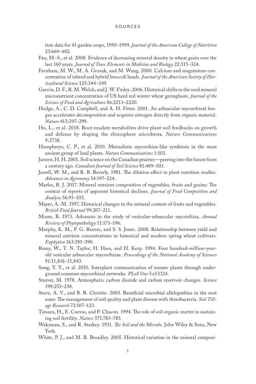tion data for 43 garden crops, 1950–1999. *Journal of the American College of Nutrition* 23:669–682.

- Fan, M.-S., et al. 2008. Evidence of decreasing mineral density in wheat grain over the last 160 years. *Journal of Trace Elements in Medicine and Biology* 22:315–324.
- Farnham, M. W., M. A. Grusak, and M. Wang. 2000. Calcium and magnesium concentration of inbred and hybrid broccoli heads. *Journal of the American Society of Horticultural Science* 125:344–349.
- Garvin, D. F., R. M. Welch, and J. W. Finley. 2006. Historical shifts in the seed mineral micronutrient concentration of US hard red winter wheat germplasm. *Journal of the Science of Food and Agriculture* 86:2213–2220.
- Hodge, A., C. D. Campbell, and A. H. Fitter. 2001. An arbuscular mycorrhizal fungus accelerates decomposition and acquires nitrogen directly from organic material. *Nature* 413:297–299.
- Hu, L., et al. 2018. Root exudate metabolites drive plant-soil feedbacks on growth and defense by shaping the rhizosphere microbiota. *Nature Communications* 9:2738.
- Humphreys, C. P., et al. 2010. Mutualistic mycorrhiza-like symbiosis in the most ancient group of land plants. *Nature Communications* 1:103.
- Janzen, H. H. 2001. Soil science on the Canadian prairies—peering into the future from a century ago. *Canadian Journal of Soil Science* 81:489–503.
- Jarrell, W. M., and R. B. Beverly. 1981. The dilution effect in plant nutrition studies. *Advances in Agronomy* 34:197–224.
- Marles, R. J. 2017. Mineral nutrient composition of vegetables, fruits and grains: The context of reports of apparent historical declines. *Journal of Food Composition and Analysis* 56:93–103.
- Mayer, A.-M. 1997. Historical changes in the mineral content of fruits and vegetables. *British Food Journal* 99:207–211.
- Mosse, B. 1973. Advances in the study of vesicular-arbuscular mycorrhiza. *Annual Review of Phytopathology* 11:171–196.
- Murphy, K. M., P. G. Reeves, and S. S. Jones. 2008. Relationship between yield and mineral nutrient concentrations in historical and modern spring wheat cultivars. *Euphytica* 163:381–390.
- Remy, W., T. N. Taylor, H. Hass, and H. Kerp. 1994. Four hundred-million-yearold vesicular arbuscular mycorrhizae. *Proceedings of the National Academy of Sciences* 91:11,841–11,843.
- Song, Y. Y., et al. 2010. Interplant communication of tomato plants through underground common mycorrhizal networks. *PLoS One* 5:e13324.
- Stuiver, M. 1978. Atmospheric carbon dioxide and carbon reservoir changes. *Science* 199:253–258.
- Sturz, A. V., and B. R. Christie. 2003. Beneficial microbial allelopathies in the root zone: The management of soil quality and plant disease with rhizobacteria. *Soil Tillage Research* 72:107–123.
- Tiessen, H., E. Cuevas, and P. Chacon. 1994. The role of soil organic matter in sustaining soil fertility. *Nature* 371:783–785.
- Waksman, S., and R. Starkey. 1931. *The Soil and the Microbe*. John Wiley & Sons, New York.
- White, P. J., and M. R. Broadley. 2005. Historical variation in the mineral composi-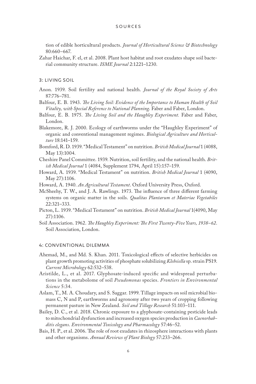tion of edible horticultural products. *Journal of Horticultural Science & Biotechnology* 80:660–667.

Zahar Haichar, F. el, et al. 2008. Plant host habitat and root exudates shape soil bacterial community structure. *ISME Journal* 2:1221–1230.

3: LIVING SOIL

- Anon. 1939. Soil fertility and national health. *Journal of the Royal Society of Arts* 87:776–781.
- Balfour, E. B. 1943. *The Living Soil: Evidence of the Importance to Human Health of Soil Vitality, with Special Reference to National Planning*. Faber and Faber, London.
- Balfour, E. B. 1975. *The Living Soil and the Haughley Experiment.* Faber and Faber, London.
- Blakemore, R. J. 2000. Ecology of earthworms under the "Haughley Experiment" of organic and conventional management regimes. *Biological Agriculture and Horticulture* 18:141–159.
- Bomford, R. D. 1939. "Medical Testament" on nutrition. *British Medical Journal* 1 (4088, May 13):1004.
- Cheshire Panel Committee. 1939. Nutrition, soil fertility, and the national health. *British Medical Journal* 1 (4084, Supplement 1794, April 15):157–159.
- Howard, A. 1939. "Medical Testament" on nutrition. *British Medical Journal* 1 (4090, May 27):1106.
- Howard, A. 1940. *An Agricultural Testament*. Oxford University Press, Oxford.
- McSheehy, T. W., and J. A. Rawlings. 1973. The influence of three different farming systems on organic matter in the soils. *Qualitas Plantarum et Materiae Vegetabiles* 22:321–333.
- Picton, L. 1939. "Medical Testament" on nutrition. *British Medical Journal* 1(4090, May 27):1106.
- Soil Association. 1962. *The Haughley Experiment: The First Twenty-Five Years, 1938–62*. Soil Association, London.

## 4: CONVENTIONAL DILEMMA

- Ahemad, M., and Md. S. Khan. 2011. Toxicological effects of selective herbicides on plant growth promoting activities of phosphate solubilizing *Klebsiella* sp. strain PS19. *Current Microbology* 62:532–538.
- Aristilde, L., et al. 2017. Glyphosate-induced specific and widespread perturbations in the metabolome of soil *Pseudomonas* species. *Frontiers in Environmental Science* 5:34.
- Aslam, T., M. A. Choudary, and S. Saggar. 1999. Tillage impacts on soil microbial biomass C, N and P, earthworms and agronomy after two years of cropping following permanent pasture in New Zealand. *Soil and Tillage Research* 51:103–111.
- Bailey, D. C., et al. 2018. Chronic exposure to a glyphosate-containing pesticide leads to mitochondrial dysfunction and increased oxygen species production in *Caenorhabditis elegans*. *Environmental Toxicology and Pharmacology* 57:46–52.
- Bais, H. P., et al. 2006. The role of root exudates in rhizosphere interactions with plants and other organisms. *Annual Reviews of Plant Biology* 57:233–266.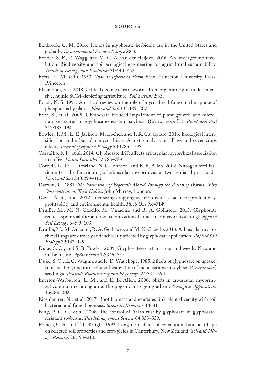- Benbrook, C. M. 2016. Trends in glyphosate herbicide use in the United States and globally. *Environmental Sciences Europe* 28:3.
- Bender, S. F., C. Wagg, and M. G. A. van der Heijden. 2016. An underground revolution: Biodiversity and soil ecological engineering for agricultural sustainability. *Trends in Ecology and Evolution* 31:440–452.
- Betts, E. M. (ed.). 1953. *Thomas Jefferson's Farm Book*. Princeton University Press, Princeton.
- Blakemore, R. J. 2018. Critical decline of earthworms from organic origins under intensive, humic SOM-depleting agriculture. *Soil Systems* 2:33.
- Bolan, N. S. 1991. A critical review on the role of mycorrhizal fungi in the uptake of phosphorus by plants. *Plant and Soil* 134:189–207.
- Bott, S., et al. 2008. Glyphosate-induced impairment of plant growth and micronutrient status in glyphosate-resistant soybean (*Glycine max* L.). *Plant and Soil* 312:185–194.
- Bowles, T. M., L. E. Jackson, M. Loeher, and T. R. Cavagnaro. 2016. Ecological intensification and arbuscular mycorrhizas: A meta-analysis of tillage and cover crops effects. *Journal of Applied Ecology* 54:1785–1793.
- Carvalho, F. P., et al. 2014. Glyphosate drift affects arbuscular mycorrhizal association in coffee. *Planta Daninha* 32:783–789.
- Corkidi, L., D. L. Rowland, N. C. Johnson, and E. B. Allen. 2002. Nitrogen fertilization alters the functioning of arbuscular mycorrhizas at two semiarid grasslands. *Plant and Soil* 240:299–310.
- Darwin, C. 1881. *The Formation of Vegetable Mould Through the Action of Worms: With Observations on Their Habits*. John Murray, London.
- Davis, A. S., et al. 2012. Increasing cropping system diversity balances productivity, profitability and environmental health. *PLoS One* 7:e47149.
- Druille, M., M. N. Cabello, M. Omacini, and R. A. Golluscio. 2013. Glyphosate reduces spore viability and root colonization of arbuscular mycorrhizal fungi. *Applied Soil Ecology* 64:99–103.
- Druille, M., M. Omacini, R. A. Golluscio, and M. N. Cabello. 2013. Arbuscular mycorrhizal fungi are directly and indirectly affected by glyphosate application. *Applied Soil Ecology* 72:143–149.
- Duke, S. O., and S. B. Powles. 2009. Glyphosate-resistant crops and weeds: Now and in the future. *AgBioForum* 12:346–357.
- Duke, S. O., K. C. Vaughn, and R. D. Wauchope. 1985. Effects of glyphosate on uptake, translocation, and intracellular localization of metal cations in soybean (*Glycine max*) seedlings. *Pesticide Biochemistry and Physiology* 24:384–394.
- Egerton-Warburton, L. M., and E. B. Allen. 2000. Shifts in arbuscular mycorrhizal communities along an anthropogenic nitrogen gradient. *Ecological Applications* 10:484–496.
- Eisenhaurer, N., et al. 2017. Root biomass and exudates link plant diversity with soil bacterial and fungal biomass. *Scientific Reports* 7:44641.
- Feng, P. C. C., et al. 2008. The control of Asian rust by glyphosate in glyphosateresistant soybeans. *Pest Management Science* 64:353–359.
- Francis, G. S., and T. L. Knight. 1993. Long-term effects of conventional and no-tillage on selected soil properties and crop yields in Canterbury, New Zealand. *Soil and Tillage Research* 26:193–210.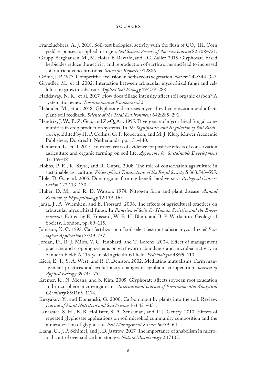### S ources

- Franzluebbers, A. J. 2018. Soil-test biological activity with the flush of  $\text{CO}_2$ : III. Corn yield responses to applied nitrogen. *Soil Science Society of America Journal* 82:708–721.
- Gaupp-Berghausen, M., M. Hofer, B. Rewald, and J. G. Zaller. 2015. Glyphosate-based herbicides reduce the activity and reproduction of earthworms and lead to increased soil nutrient concentrations. *Scientific Reports* 5:12886.
- Grime, J. P. 1973. Competitive exclusion in herbaceous vegetation. *Nature* 242:344–347.
- Gryndler, M., et al. 2002. Interaction between arbuscular mycorrhizal fungi and cellulose in growth substrate. *Applied Soil Ecology* 19:279–288.
- Haddaway, N. R., et al. 2017. How does tillage intensity affect soil organic carbon? A systematic review. *Environmental Evidence* 6:30.
- Helander, M., et al. 2018. Glyphosate decreases mycorrhizal colonization and affects plant-soil feedback. *Science of the Total Environment* 642:285–291.
- Hendrix, J. W., B. Z. Guo, and Z.-Q. An. 1995. Divergence of mycorrhizal fungal communities in crop production systems. In *The Significance and Regulation of Soil Biodiversity*. Edited by H. P. Collins, G. P. Robertson, and M. J. Klug. Kluwer Academic Publishers, Dordrecht, Netherlands, pp. 131–140.
- Henneron, L., et al. 2015. Fourteen years of evidence for positive effects of conservation agriculture and organic farming on soil life. *Agronomy for Sustainable Development* 35: 169–181.
- Hobbs, P. R., K. Sayre, and R. Gupta. 2008. The role of conservation agriculture in sustainable agriculture. *Philosophical Transactions of the Royal Society B* 363:543–555.
- Hole, D. G., et al. 2005. Does organic farming benefit biodiversity? *Biological Conservation* 122:113–130.
- Huber, D. M., and R. D. Watson. 1974. Nitrogen form and plant disease. *Annual Reviews of Phytopathology* 12:139–165.
- Jansa, J., A. Wiemken, and E. Frossard. 2006. The effects of agricultural practices on arbuscular mycorrhizal fungi. In *Function of Soils for Human Societies and the Environment*. Edited by E. Frossard, W. E. H. Blum, and B. P. Warkentin. Geological Society, London, pp. 89–115.
- Johnson, N. C. 1993. Can fertilization of soil select less mutualistic mycorrhizae? *Ecological Applications* 3:749–757.
- Jordan, D., R. J. Miles, V. C. Hubbard, and T. Lorenz. 2004. Effect of management practices and cropping systems on earthworm abundance and microbial activity in Sanborn Field: A 115-year-old agricultural field. *Pedobiologia* 48:99–110.
- Kiers, E. T., S. A. West, and R. F. Denison. 2002. Mediating mutualisms: Farm management practices and evolutionary changes in symbiont co-operation. *Journal of Applied Ecology* 39:745–754.
- Kremer, R., N. Means, and S. Kim. 2005. Glyphosate affects soybean root exudation and rhizosphere micro-organisms. *International Journal of Environmental Analytical Chemistry* 85:1165–1174.
- Kuzyakov, Y., and Domanski, G. 2000. Carbon input by plants into the soil: Review. *Journal of Plant Nutrition and Soil Science* 163:421–431.
- Lancaster, S. H., E. B. Hollister, S. A. Senseman, and T. J. Gentry. 2010. Effects of repeated glyphosate applications on soil microbial community composition and the mineralization of glyphosate. *Pest Management Science* 66:59–64.
- Liang, C., J. P. Schimel, and J. D. Jastrow. 2017. The importance of anabolism in microbial control over soil carbon storage. *Nature Microbiology* 2:17105.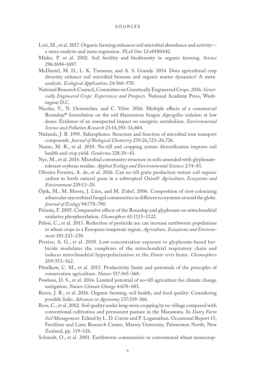- Lori, M., et al. 2017. Organic farming enhances soil microbial abundance and activity a meta-analysis and meta-regression. *PLoS One* 12:e0180442.
- Mäder, P. et al. 2002. Soil fertility and biodiversity in organic farming. *Science* 296:1694–1697.
- McDaniel, M. D., L. K. Tiemann, and A. S. Grandy. 2014. Does agricultural crop diversity enhance soil microbial biomass and organic matter dynamics? A metaanalysis. *Ecological Applications* 24:560–570.
- National Research Council, Committee on Genetically Engineered Crops. 2016. *Genetically Engineered Crops: Experiences and Prospects*. National Academy Press, Washington D.C.
- Nicolas, V., N. Oestreicher, and C. Vélot. 2016. Multiple effects of a commercial Roundup® formulation on the soil filamentous fungus *Aspergillus nidulans* at low doses: Evidence of an unexpected impact on energetic metabolism. *Environmental Science and Pollution Research* 23:14,393–14,404.
- Nielands, J. B. 1995. Siderophores: Structure and function of microbial iron transport compounds. *Journal of Biological Chemistry* 270:26,723–26,726.
- Nunes, M. R., et al. 2018. No-till and cropping system diversification improve soil health and crop yield. *Geoderma* 328:30–43.
- Nye, M., et al. 2014. Microbial community structure in soils amended with glyphosatetolerant soybean residue. *Applied Ecology and Environmental Sciences* 2:74–81.
- Oliveira Ferreira, A. de, et al. 2016. Can no-till grain production restore soil organic carbon to levels natural grass in a subtropical Oxisol? *Agriculture, Ecosystems and Environment* 229:13–20.
- Öpik, M., M. Moora, J. Lüra, and M. Zobel. 2006. Composition of root-colonizing arbuscular mycorrhizal fungal communities in different ecosystems around the globe. *Journal of Ecology* 94:778–790.
- Peixota, F. 2005. Comparative effects of the Roundup and glyphosate on mitochondrial oxidative phosphorylation. *Chemosphere* 61:1115–1122.
- Pelosi, C., et al. 2013. Reduction of pesticide use can increase earthworm populations in wheat crops in a European temperate region. *Agriculture, Ecosystems and Environment* 181:223–230.
- Pereira, A. G., et al. 2018. Low-concentration exposure to glyphosate-based herbicide modulates the complexes of the mitochondrial respiratory chain and induces mitochondrial hyperpolarization in the *Danio rerio* brain. *Chemosphere* 209:353–362.
- Pittelkow, C. M., et al. 2015. Productivity limits and potentials of the principles of conservation agriculture. *Nature* 517:365–368.
- Powlson, D. S., et al. 2014. Limited potential of no-till agriculture for climate change mitigation. *Nature Climate Change* 4:678–683.
- Reeve, J. R., et al. 2016. Organic farming, soil health, and food quality: Considering possible links. *Advances in Agronomy* 137:319–366.
- Ross, C., et al. 2002. Soil quality under long-term cropping by no-tillage compared with conventional cultivation and permanent pasture in the Manawatu. In *Dairy Farm Soil Management*. Edited by L. D. Currie and P. Loganathan. Occasional Report 15, Fertilizer and Lime Research Centre, Massey University, Palmerston North, New Zealand, pp. 119–126.
- Schmidt, O., et al. 2001. Earthworm communities in conventional wheat monocrop-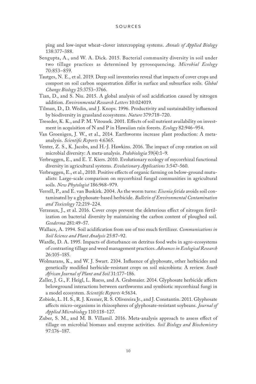ping and low-input wheat–clover intercropping systems. *Annals of Applied Biology* 138:377–388.

- Sengupta, A., and W. A. Dick. 2015. Bacterial community diversity in soil under two tillage practices as determined by pyrosequencing. *Microbial Ecology* 70:853–859.
- Tautges, N. E., et al. 2019. Deep soil inventories reveal that impacts of cover crops and compost on soil carbon sequestration differ in surface and subsurface soils. *Global Change Biology* 25:3753–3766.
- Tian, D., and S. Niu. 2015. A global analysis of soil acidification caused by nitrogen addition. *Environmental Research Letters* 10:024019.
- Tilman, D., D. Wedin, and J. Knops. 1996. Productivity and sustainability influenced by biodiversity in grassland ecosystems. *Nature* 379:718–720.
- Treseder, K. K., and P. M. Vitousek. 2001. Effects of soil nutrient availability on investment in acquisition of N and P in Hawaiian rain forests. *Ecology* 82:946–954.
- Van Groenigen, J. W., et al., 2014. Earthworms increase plant production: A metaanalysis. *Scientific Reports* 4:6365.
- Venter, Z. S., K. Jacobs, and H.-J. Hawkins. 2016. The impact of crop rotation on soil microbial diversity: A meta-analysis. *Pedobiologia* 59(4):1–9.
- Verbruggen, E., and E. T. Kiers. 2010. Evolutionary ecology of mycorrhizal functional diversity in agricultural systems. *Evolutionary Applications* 3:547–560.
- Verbruggen, E., et al., 2010. Positive effects of organic farming on below-ground mutualists: Large-scale comparison on mycorrhizal fungal communities in agricultural soils. *New Phytologist* 186:968–979.
- Verrell, P., and E. van Buskirk. 2004. As the worm turns: *Eisenia fetida* avoids soil contaminated by a glyphosate-based herbicide. *Bulletin of Environmental Contamination and Toxicology* 72:219–224.
- Verzeaux, J., et al. 2016. Cover crops prevent the deleterious effect of nitrogen fertilization on bacterial diversity by maintaining the carbon content of ploughed soil. *Geoderma* 281:49–57.
- Wallace, A. 1994. Soil acidification from use of too much fertilizer. *Communications in Soil Science and Plant Analysis* 25:87–92.
- Wardle, D. A. 1995. Impacts of disturbance on detritus food webs in agro-ecosystems of contrasting tillage and weed management practices. *Advances in Ecological Research* 26:105–185.
- Wolmarans, K., and W. J. Swart. 2104. Influence of glyphosate, other herbicides and genetically modified herbicide-resistant crops on soil microbiota: A review. *South African Journal of Plant and Soil* 31:177–186.
- Zaller, J. G., F. Heigl, L. Ruess, and A. Grabmaier. 2014. Glyphosate herbicide affects belowground interactions between earthworms and symbiotic mycorrhizal fungi in a model ecosystem. *Scientific Reports* 4:5634.
- Zobiole, L. H. S., R. J. Kremer, R. S. Olivereira Jr., and J. Constantin. 2011. Glyphosate affects micro-organisms in rhizospheres of glyphosate-resistant soybeans. *Journal of Applied Microbiology* 110:118–127.
- Zuber, S. M., and M. B. Villamil. 2016. Meta-analysis approach to assess effect of tillage on microbial biomass and enzyme activities. *Soil Biology and Biochemistry* 97:176–187.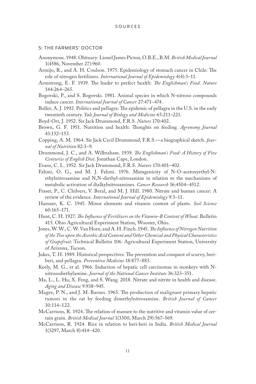#### 5: THE FARMERS' DOCTOR

- Anonymous. 1948. Obituary: Lionel James Picton, O.B.E., B.M. *British Medical Journal* 1(4586, November 27):960.
- Armijo, R., and A. H. Coulson. 1975. Epidemiology of stomach cancer in Chile: The role of nitrogen fertilizers. *International Journal of Epidemiology* 4(4):3–11.
- Armstrong, E. F. 1939. The leader to perfect health: *The Englishman's Food*. *Nature* 144:264–265.
- Bogovski, P., and S. Bogovski. 1981. Animal species in which N-nitroso compounds induce cancer. *International Journal of Cancer* 27:471–474.
- Bollet, A. J. 1992. Politics and pellagra: The epidemic of pellagra in the U.S. in the early twentieth century. *Yale Journal of Biology and Medicine* 65:211–221.
- Boyd-Orr, J. 1952. Sir Jack Drummond, F.R.S. *Nature* 170:402.
- Brown, G. F. 1951. Nutrition and health: Thoughts on feeding. *Agronomy Journal* 43:152–153.
- Copping, A. M. 1964. Sir Jack Cecil Drummond, F.R.S.—a biographical sketch. *Journal of Nutrition* 82:3–9.
- Drummond, J. C., and A. Wilbraham. 1939. *The Englishman's Food: A History of Five Centuries of English Diet*. Jonathan Cape, London.
- Evans, C. L. 1952. Sir Jack Drummond, F.R.S. *Nature* 170:401–402.
- Fahmi, O. G., and M. J. Fahmi. 1976. Mutagenicity of N-O-acetoxyethyl-Nethylnitrosamine and N,N-diethyl-nitrosamine in relation to the mechanisms of metabolic activation of dialkylnitrosamines. *Cancer Research* 36:4504–4512.
- Fraser, P., C. Chilvers, V. Beral, and M. J. Hill. 1980. Nitrate and human cancer: A review of the evidence. *International Journal of Epidemiology* 9:3–11.
- Hamner, K. C. 1945. Minor elements and vitamin content of plants. *Soil Science* 60:165–171.
- Hunt, C. H. 1927. *The Influence of Fertilizers on the Vitamin-B Content of Wheat*. Bulletin 415. Ohio Agricultural Experiment Station, Wooster, Ohio.
- Jones, W. W., C. W. Van Horn, and A. H. Finch. 1945. *The Influence of Nitrogen Nutrition of the Tree upon the Ascorbic Acid Content and Other Chemical and Physical Characteristics of Grapefruit*. Technical Bulletin 106. Agricultural Experiment Station, University of Arizona, Tucson.
- Jukes, T. H. 1989. Historical perspectives: The prevention and conquest of scurvy, beriberi, and pellagra. *Preventive Medicine* 18:877–883.
- Keely, M. G., et al. 1966. Induction of hepatic cell carcinomas in monkeys with Nnitrosodiethylamine. *Journal of the National Cancer Institute* 36:323–351.
- Ma, L., L. Hu, X. Feng, and S. Wang. 2018. Nitrate and nitrite in health and disease. *Aging and Disease* 9:938–945.
- Magee, P. N., and J. M. Barnes. 1965. The production of malignant primary hepatic tumors in the rat by feeding dimethylnitrosamine. *British Journal of Cancer* 10:114–122.
- McCarrison, R. 1924. The relation of manure to the nutritive and vitamin value of certain grain. *British Medical Journal* 1(3300, March 29):567–569.
- McCarrison, R. 1924. Rice in relation to beri-beri in India. *British Medical Journal* 1(3297, March 8):414–420.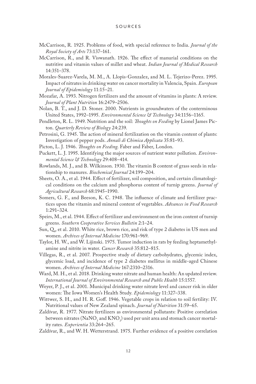- McCarrison, R. 1925. Problems of food, with special reference to India. *Journal of the Royal Society of Arts* 73:137–161.
- McCarrison, R., and R. Viswanath. 1926. The effect of manurial conditions on the nutritive and vitamin values of millet and wheat. *Indian Journal of Medical Research* 14:351–378.
- Morales-Suarez-Varela, M. M., A. Llopis-Gonzalez, and M. L. Tejerizo-Perez. 1995. Impact of nitrates in drinking water on cancer mortality in Valencia, Spain. *European Journal of Epidemiology* 11:15–21.
- Mozafar, A. 1993. Nitrogen fertilizers and the amount of vitamins in plants: A review. *Journal of Plant Nutrition* 16:2479–2506.
- Nolan, B. T., and J. D. Stoner. 2000. Nutrients in groundwaters of the conterminous United States, 1992–1995. *Environmental Science & Technology* 34:1156–1165.
- Pendleton, R. L. 1949. Nutrition and the soil: *Thoughts on Feeding* by Lionel James Picton. *Quarterly Review of Biology* 24:239.
- Petrosini, G. 1945. The action of mineral fertilization on the vitamin content of plants: Investigation of pepper pods. *Annali di Chimica Applicata* 35:81–93.
- Picton, L. J. 1946. *Thoughts on Feeding*. Faber and Faber, London.
- Puckett, L. J. 1995. Identifying the major sources of nutrient water pollution. *Environmental Science & Technology* 29:408–414.
- Rowlands, M. J., and B. Wilkinson. 1930. The vitamin B content of grass seeds in relationship to manures. *Biochemical Journal* 24:199–204.
- Sheets, O. A., et al. 1944. Effect of fertilizer, soil composition, and certain climatological conditions on the calcium and phosphorus content of turnip greens. *Journal of Agricultural Research* 68:1945–1990.
- Somers, G. F., and Beeson, K. C. 1948. The influence of climate and fertilizer practices upon the vitamin and mineral content of vegetables. *Advances in Food Research* 1:291–324.
- Speirs, M., et al. 1944. Effect of fertilizer and environment on the iron content of turnip greens. *Southern Cooperative Services Bulletin* 2:1–24.
- Sun, Q., et al. 2010. White rice, brown rice, and risk of type 2 diabetes in US men and women. *Archives of Internal Medicine* 170:961–969.
- Taylor, H. W., and W. Lijinski. 1975. Tumor induction in rats by feeding heptamethylamine and nitrite in water. *Cancer Research* 35:812–815.
- Villegas, R., et al. 2007. Prospective study of dietary carbohydrates, glycemic index, glycemic load, and incidence of type 2 diabetes mellitus in middle-aged Chinese women. *Archives of Internal Medicine* 167:2310–2316.
- Ward, M. H., et al. 2018. Drinking water nitrate and human health: An updated review. *International Journal of Environmental Research and Public Health* 15:1557.
- Weyer, P. J., et al. 2001. Municipal drinking water nitrate level and cancer risk in older women: The Iowa Women's Health Study. *Epidemiology* 11:327–338.
- Wittwer, S. H., and H. R. Goff. 1946. Vegetable crops in relation to soil fertility: IV. Nutritional values of New Zealand spinach. *Journal of Nutrition* 31:59–65.
- Zaldívar, R. 1977. Nitrate fertilizers as environmental pollutants: Positive correlation between nitrates (NaNO<sub>3</sub> and KNO<sub>3</sub>) used per unit area and stomach cancer mortality rates. *Experientia* 33:264–265.
- Zaldívar, R., and W. H. Wetterstrand. 1975. Further evidence of a positive correlation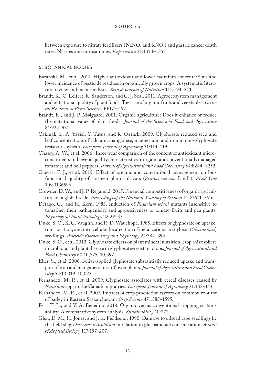between exposure to nitrate fertilizers (NaNO<sub>3</sub> and KNO<sub>3</sub>) and gastric cancer death rates: Nitrites and nitrosamines. *Experientia* 31:1354–1355.

### 6: BOTANICAL BODIES

- Baranski, M., et al. 2014. Higher antioxidant and lower cadmium concentrations and lower incidence of pesticide residues in organically grown crops: A systematic literature review and meta-analyses. *British Journal of Nutrition* 112:794–811.
- Brandt, K., C. Leifert, R. Sanderson, and C. J. Seal. 2011. Agroecosystem management and nutritional quality of plant foods: The case of organic fruits and vegetables. *Critical Reviews in Plant Sciences* 30:177–197.
- Brandt, K., and J. P. Mølgaard. 2001. Organic agriculture: Does it enhance or reduce the nutritional value of plant foods? *Journal of the Science of Food and Agriculture* 81:924–931.
- Cakmak, I., A. Yazici, Y. Tutus, and K. Ozturk. 2009. Glyphosate reduced seed and leaf concentrations of calcium, manganese, magnesium, and iron in non-glyphosate resistant soybean. *European Journal of Agronomy* 31:114–119.
- Chassy, A. W., et al. 2006. Three-year comparison of the content of antioxidant microconstituents and several quality characteristics in organic and conventionally managed tomatoes and bell peppers. *Journal of Agricultural and Food Chemistry* 54:8244–8252.
- Cuevas, F. J., et al. 2015. Effect of organic and conventional management on biofunctional quality of thirteen plum cultivars (*Prunus salicina* Lindl.). *PLoS One* 10:e0136596.
- Crowder, D. W., and J. P. Reganold. 2015. Financial competitiveness of organic agriculture on a global scale. *Proceedings of the National Academy of Sciences* 112:7611–7616.
- Défago, G., and H. Kern. 1983. Induction of *Fusarium solani* mutants insensitive to tomatine, their pathogenicity and aggressiveness to tomato fruits and pea plants. *Physiological Plant Pathology* 22:29–37.
- Duke, S. O., K. C. Vaughn, and R. D. Wauchope. 1985. Effects of glyphosate on uptake, translocation, and intracellular localization of metal cations in soybean (*Glycine max*) seedlings. *Pesticide Biochemistry and Physiology* 24:384–394.
- Duke, S. O., et al. 2012. Glyphosate effects on plant mineral nutrition, crop rhizosphere microbiota, and plant disease in glyphosate-resistant crops. *Journal of Agricultural and Food Chemistry* 60:10,375–10,397.
- Eker, S., et al. 2006. Foliar-applied glyphosate substantially reduced uptake and transport of iron and manganese in sunflower plants. *Journal of Agriculture and Food Chemistry* 54:10,019–10,025.
- Fernandez, M. R., et al. 2009. Glyphosate associates with cereal diseases caused by *Fusarium* spp. in the Canadian prairies. *European Journal of Agronomy* 31:133–143.
- Fernandez, M. R., et al. 2007. Impacts of crop production factors on common root rot of barley in Eastern Saskatchewan. *Crop Science* 47:1585–1595.
- Fess, T. L., and V. A. Benedito. 2018. Organic versus conventional cropping sustainability: A comparative system analysis. *Sustainability* 10:272.
- Glen, D. M., H. Jones, and J. K. Fieldsend. 1990. Damage to oilseed rape seedlings by the field slug *Deroceras reticulatum* in relation to glucosinolate concentration. *Annals of Applied Biology* 117:197–207.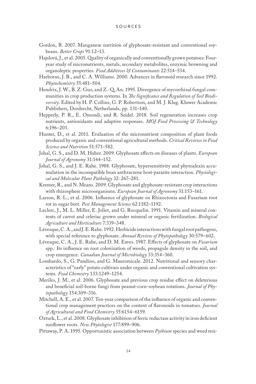## S ources

- Gordon, B. 2007. Manganese nutrition of glyphosate-resistant and conventional soybeans. *Better Crops* 91:12–13.
- Hajslová, J., et al. 2005. Quality of organically and conventionally grown potatoes: Fouryear study of micronutrients, metals, secondary metabolites, enzymic browning and organoleptic properties. *Food Additives & Contaminants* 22:514–534.
- Harborne, J. B., and C. A. Williams. 2000. Advances in flavonoid research since 1992. *Phytochemistry* 55:481–504.
- Hendrix, J. W., B. Z. Guo, and Z.-Q. An. 1995. Divergence of mycorrhizal fungal communities in crop production systems. In *The Significance and Regulation of Soil Biodiversity*. Edited by H. P. Collins, G. P. Robertson, and M. J. Klug. Kluwer Academic Publishers, Dordrecht, Netherlands, pp. 131–140.
- Hepperly, P. R., E. Omondi, and R. Seidel. 2018. Soil regeneration increases crop nutrients, antioxidants and adaptive responses. *MOJ Food Processing & Technology* 6:196–203.
- Hunter, D., et al. 2011. Evaluation of the micronutrient composition of plant foods produced by organic and conventional agricultural methods. *Critical Reviews in Food Science and Nutrition* 51:571–582.
- Johal, G. S., and D. M. Huber. 2009. Glyphosate effects on diseases of plants. *European Journal of Agronomy* 31:144–152.
- Johal, G. S., and J. E. Rahe. 1988. Glyphosate, hypersensitivity and phytoalexin accumulation in the incompatible bean anthracnose host-parasite interaction. *Physiological and Molecular Plant Pathology* 32: 267–281.
- Kremer, R., and N. Means. 2009. Glyphosate and glyphosate-resistant crop interactions with rhizosphere microorganisms. *European Journal of Agronomy* 31:153–161.
- Larson, R. L., et al. 2006. Influence of glyphosate on Rhizoctonia and Fusarium root rot in sugar beet. *Pest Management Science* 62:1182–1192.
- Leclerc, J., M. L. Miller, E. Joliet, and G. Rocquelin. 1991. Vitamin and mineral contents of carrot and celeriac grown under mineral or organic fertilization. *Biological Agriculture and Horticulture* 7:339–348.
- Lévesque, C. A., and J. E. Rahe. 1992. Herbicide interactions with fungal root pathogens, with special reference to glyphosate. *Annual Review of Phytopathology* 30:579–602.
- Lévesque, C. A., J. E. Rahe, and D. M. Eaves. 1987. Effects of glyphosate on *Fusarium* spp.: Its influence on root colonization of weeds, propagule density in the soil, and crop emergence. *Canadian Journal of Microbiology* 33:354–360.
- Lombardo, S., G. Pandino, and G. Mauromicale. 2012. Nutritional and sensory characteristics of "early" potato cultivars under organic and conventional cultivation systems. *Food Chemistry* 133:1249–1254.
- Meriles, J. M., et al. 2006. Glyphosate and previous crop residue effect on deleterious and beneficial soil-borne fungi from peanut-corn-soybean rotations. *Journal of Phytopathology* 154:309–316.
- Mitchell, A. E., et al. 2007. Ten-year comparison of the influence of organic and conventional crop management practices on the content of flavonoids in tomatoes. *Journal of Agricultural and Food Chemistry* 55:6154–6159.
- Ozturk, L., et al. 2008. Glyphosate inhibition of ferric reductase activity in iron deficient sunflower roots. *New Phytologist* 177:899–906.
- Pittaway, P. A. 1995. Opportunistic association between *Pythium* species and weed resi-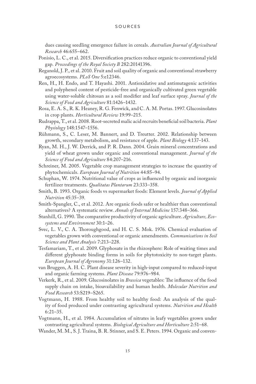dues causing seedling emergence failure in cereals. *Australian Journal of Agricultural Research* 46:655–662.

- Ponisio, L. C., et al. 2015. Diversification practices reduce organic to conventional yield gap. *Proceedings of the Royal Society B* 282:20141396.
- Reganold, J. P., et al. 2010. Fruit and soil quality of organic and conventional strawberry agroecosystems. *PLoS One* 5:e12346.
- Ren, H., H. Endo, and T. Hayashi. 2001. Antioxidative and antimutagenic activities and polyphenol content of pesticide-free and organically cultivated green vegetable using water-soluble chitosan as a soil modifier and leaf surface spray. *Journal of the Science of Food and Agriculture* 81:1426–1432.
- Rosa, E. A. S., R. K. Heaney, R. G. Fenwick, and C. A. M. Portas. 1997. Glucosinolates in crop plants. *Horticultural Review* 19:99–215.
- Rudrappa, T., et al. 2008. Root-secreted malic acid recruits beneficial soil bacteria. *Plant Physiology* 148:1547–1556.
- Rühmann, S., C. Leser, M. Bannert, and D. Treutter. 2002. Relationship between growth, secondary metabolism, and resistance of apple. *Plant Biology* 4:137–143.
- Ryan, M. H., J. W. Derrick, and P. R. Dann. 2004. Grain mineral concentrations and yield of wheat grown under organic and conventional management. *Journal of the Science of Food and Agriculture* 84:207–216.
- Schreiner, M. 2005. Vegetable crop management strategies to increase the quantity of phytochemicals. *European Journal of Nutrition* 44:85–94.
- Schuphan, W. 1974. Nutritional value of crops as influenced by organic and inorganic fertilizer treatments. *Qualitatas Plantarum* 23:333–358.
- Smith, B. 1993. Organic foods vs supermarket foods: Element levels. *Journal of Applied Nutrition* 45:35–39.
- Smith-Spangler, C., et al. 2012. Are organic foods safer or healthier than conventional alternatives? A systematic review. *Annals of Internal Medicine* 157:348–366.
- Stanhill, G. 1990. The comparative productivity of organic agriculture. *Agriculture, Ecosystems and Environment* 30:1–26.
- Svec, L. V., C. A. Thoroughgood, and H. C. S. Mok. 1976. Chemical evaluation of vegetables grown with conventional or organic amendments. *Communications in Soil Science and Plant Analysis* 7:213–228.
- Tesfamariam, T., et al. 2009. Glyphosate in the rhizosphere: Role of waiting times and different glyphosate binding forms in soils for phytotoxicity to non-target plants. *European Journal of Agronomy* 31:126–132.
- van Bruggen, A. H. C. Plant disease severity in high-input compared to reduced-input and organic farming systems. *Plant Disease* 79:976–984.
- Verkerk, R., et al. 2009. Glucosinolates in *Brassica* vegetables: The influence of the food supply chain on intake, bioavailability and human health. *Molecular Nutrition and Food Research* 53:S219–S265.
- Vogtmann, H. 1988. From healthy soil to healthy food: An analysis of the quality of food produced under contrasting agricultural systems. *Nutrition and Health* 6:21–35.
- Vogtmann, H., et al. 1984. Accumulation of nitrates in leafy vegetables grown under contrasting agricultural systems. *Biological Agriculture and Horticulture* 2:51–68.
- Wander, M. M., S. J. Traina, B. R. Stinner, and S. E. Peters. 1994. Organic and conven-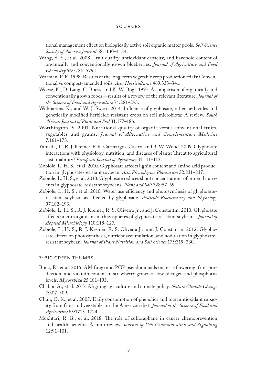tional management effect on biologically active soil organic matter pools. *Soil Science Society of America Journal* 58:1130–1134.

- Wang, S. Y., et al. 2008. Fruit quality, antioxidant capacity, and flavonoid content of organically and conventionally grown blueberries. *Journal of Agriculture and Food Chemistry* 56:5788–5794.
- Warman, P. R. 1998. Results of the long-term vegetable crop production trials: Conventional vs compost-amended soils. *Acta Horticulturae* 469:333–341.
- Woese, K., D. Lang, C. Boess, and K. W. Bogl. 1997. A comparison of organically and conventionally grown foods—results of a review of the relevant literature. *Journal of the Science of Food and Agriculture* 74:281–293.
- Wolmarans, K., and W. J. Swart. 2014. Influence of glyphosate, other herbicides and genetically modified herbicide-resistant crops on soil microbiota: A review. *South African Journal of Plant and Soil* 31:177–186.
- Worthington, V. 2001. Nutritional quality of organic versus conventional fruits, vegetables and grains. *Journal of Alternative and Complementary Medicine* 7:161–173.
- Yamada, T., R. J. Kremer, P. R. Carmargo e Castro, and B. W. Wood. 2009. Glyphosate interactions with physiology, nutrition, and diseases of plants: Threat to agricultural sustainability? *European Journal of Agronomy* 31:111–113.
- Zobiole, L. H. S., et al. 2010. Glyphosate affects lignin content and amino acid production in glyphosate-resistant soybean. *Acta Physiologiae Plantarum* 32:831–837.
- Zobiole, L. H. S., et al. 2010. Glyphosate reduces shoot concentrations of mineral nutrients in glyphosate-resistant soybeans. *Plant and Soil* 328:57–69.
- Zobiole, L. H. S., et al. 2010. Water use efficiency and photosynthesis of glyphosateresistant soybean as affected by glyphosate. *Pesticide Biochemistry and Physiology* 97:182–193.
- Zobiole, L. H. S., R. J. Kremer, R. S. Oliveira Jr., and J. Constantin. 2010. Glyphosate affects micro-organisms in rhizospheres of glyphosate-resistant soybeans. *Journal of Applied Microbiology* 110:118–127.
- Zobiole, L. H. S., R. J. Kremer, R. S. Oliveira Jr., and J. Constantin. 2012. Glyphosate effects on photosynthesis, nutrient accumulation, and nodulation in glyphosateresistant soybean. *Journal of Plant Nutrition and Soil Science* 175:319–330.

## 7: BIG GREEN THUMBS

- Bona, E., et al. 2015. AM fungi and PGP pseudomonads increase flowering, fruit production, and vitamin content in strawberry grown at low nitrogen and phosphorus levels. *Mycorrhiza* 25:181–193.
- Chabbi, A., et al. 2017. Aligning agriculture and climate policy. *Nature Climate Change*  7:307–309.
- Chun, O. K., et al. 2005. Daily consumption of phenolics and total antioxidant capacity from fruit and vegetables in the American diet. *Journal of the Science of Food and Agriculture* 85:1715–1724.
- Mokhtari, R. B., et al. 2018. The role of sulforaphane in cancer chemoprevention and health benefits: A mini-review. *Journal of Cell Communication and Signalling* 12:91–101.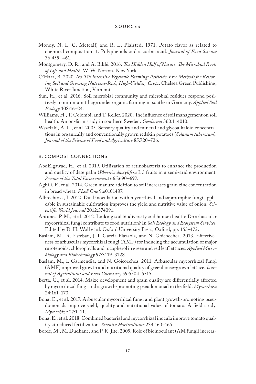- Mondy, N. I., C. Metcalf, and R. L. Plaisted. 1971. Potato flavor as related to chemical composition: 1. Polyphenols and ascorbic acid. *Journal of Food Science* 36:459–461.
- Montgomery, D. R., and A. Biklé. 2016. *The Hidden Half of Nature: The Microbial Roots of Life and Health*. W. W. Norton, New York.
- O'Hara, B. 2020. *No-Till Intensive Vegetable Farming: Pesticide-Free Methods for Restoring Soil and Growing Nutrient-Rich, High-Yielding Crops*. Chelsea Green Publishing, White River Junction, Vermont.
- Sun, H., et al. 2016. Soil microbial community and microbial residues respond positively to minimum tillage under organic farming in southern Germany. *Applied Soil Ecology* 108:16–24.
- Williams, H., T. Colombi, and T. Keller. 2020. The influence of soil management on soil health: An on-farm study in southern Sweden. *Geoderma* 360:114010.
- Wszelaki, A. L., et al. 2005. Sensory quality and mineral and glycoalkaloid concentrations in organically and conventionally grown redskin potatoes (*Solanum tuberosum*). *Journal of the Science of Food and Agriculture* 85:720–726.

## 8: COMPOST CONNECTIONS

- AbdElgawad, H., et al. 2019. Utilization of actinobacteria to enhance the production and quality of date palm (*Phoenix dactylifera* L.) fruits in a semi-arid environment. *Science of the Total Environment* 665:690–697.
- Aghili, F., et al. 2014. Green manure addition to soil increases grain zinc concentration in bread wheat. *PLoS One* 9:e0101487.
- Albrechtova, J. 2012. Dual inoculation with mycorrhizal and saprotrophic fungi applicable in sustainable cultivation improves the yield and nutritive value of onion. *Scientific World Journal* 2012:374091.
- Antunes, P. M., et al. 2012. Linking soil biodiversity and human health: Do arbuscular mycorrhizal fungi contribute to food nutrition? In *Soil Ecology and Ecosystem Services*. Edited by D. H. Wall et al. Oxford University Press, Oxford, pp. 153–172.
- Baslam, M., R. Esteban, J. I. Garcia-Plazaola, and N. Goicoechea. 2013. Effectiveness of arbuscular mycorrhizal fungi (AMF) for inducing the accumulation of major carotenoids, chlorophylls and tocopherol in green and red leaf lettuces. *Applied Microbiology and Biotechnology* 97:3119–3128.
- Baslam, M., I. Garmendia, and N. Goicoechea. 2011. Arbuscular mycorrhizal fungi (AMF) improved growth and nutritional quality of greenhouse-grown lettuce. *Journal of Agricultural and Food Chemistry* 59:5504–5515.
- Berta, G., et al. 2014. Maize development and grain quality are differentially affected by mycorrhizal fungi and a growth-promoting pseudomonad in the field. *Mycorrhiza* 24:161–170.
- Bona, E., et al. 2017. Arbuscular mycorrhizal fungi and plant growth-promoting pseudomonads improve yield, quality and nutritional value of tomato: A field study. *Mycorrhiza* 27:1–11.
- Bona, E., et al. 2018. Combined bacterial and mycorrhizal inocula improve tomato quality at reduced fertilization. *Scientia Horticulturae* 234:160–165.
- Borde, M., M. Dudhane, and P. K. Jite. 2009. Role of bioinoculant (AM fungi) increas-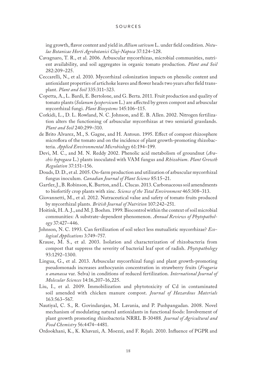ing growth, flavor content and yield in *Allium sativum* L. under field condition. *Notulae Botanicae Horti Agrobotanici Cluj-Napoca* 37:124–128.

- Cavagnaro, T. R., et al. 2006. Arbuscular mycorrhizas, microbial communities, nutrient availability, and soil aggregates in organic tomato production. *Plant and Soil* 282:209–225.
- Ceccarelli, N., et al. 2010. Mycorrhizal colonization impacts on phenolic content and antioxidant properties of artichoke leaves and flower heads two years after field transplant. *Plant and Soil* 335:311–323.
- Copetta, A., L. Bardi, E. Bertolone, and G. Berta. 2011. Fruit production and quality of tomato plants (*Solanum lycopersicum* L.) are affected by green compost and arbuscular mycorrhizal fungi. *Plant Biosystems* 145:106–115.
- Corkidi, L., D. L. Rowland, N. C. Johnson, and E. B. Allen. 2002. Nitrogen fertilization alters the functioning of arbuscular mycorrhizas at two semiarid grasslands. *Plant and Soil* 240:299–310.
- de Brito Alvarez, M., S. Gagne, and H. Antoun. 1995. Effect of compost rhizosphere microflora of the tomato and on the incidence of plant growth-promoting rhizobacteria. *Applied Environmental Microbiology* 61:194–199.
- Devi, M. C., and M. N. Reddy 2002. Phenolic acid metabolism of groundnut (*Arachis hypogaea* L.) plants inoculated with VAM fungus and *Rhizobium*. *Plant Growth Regulation* 37:151–156.
- Douds, D. D., et al. 2005. On-farm production and utilization of arbuscular mycorrhizal fungus inoculum. *Canadian Journal of Plant Science* 85:15–21.
- Gartler, J., B. Robinson, K. Burton, and L. Clucas. 2013. Carbonaceous soil amendments to biofortify crop plants with zinc. *Science of the Total Environment* 465:308–313.
- Giovannetti, M., et al. 2012. Nutraceutical value and safety of tomato fruits produced by mycorrhizal plants. *British Journal of Nutrition* 107:242–251.
- Hoitink, H. A. J., and M. J. Boehm. 1999. Biocontrol within the context of soil microbial communities: A substrate-dependent phenomenon. *Annual Reviews of Phytopathology* 37:427–446.
- Johnson, N. C. 1993. Can fertilization of soil select less mutualistic mycorrhizae? *Ecological Applications* 3:749–757.
- Krause, M. S., et al. 2003. Isolation and characterization of rhizobacteria from compost that suppress the severity of bacterial leaf spot of radish. *Phytopathology* 93:1292–1300.
- Lingua, G., et al. 2013. Arbuscular mycorrhizal fungi and plant growth-promoting pseudomonads increases anthocyanin concentration in strawberry fruits (*Fragaria x ananassa* var. Selva) in conditions of reduced fertilization. *International Journal of Molecular Sciences* 14:16,207–16,225.
- Liu, I., et al. 2009. Immobilization and phytotoxicity of Cd in contaminated soil amended with chicken manure compost. *Journal of Hazardous Materials* 163:563–567.
- Nautiyal, C. S., R. Govindarajan, M. Lavania, and P. Pushpangadan. 2008. Novel mechanism of modulating natural antioxidants in functional foods: Involvement of plant growth promoting rhizobacteria NRRL B-30488. *Journal of Agricultural and Food Chemistry* 56:4474–4481.
- Ordookhani, K., K. Khavazi, A. Moezzi, and F. Rejali. 2010. Influence of PGPR and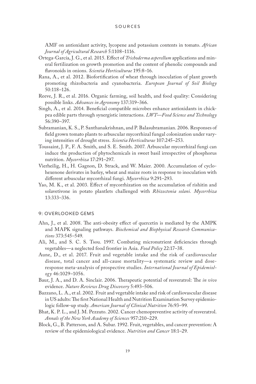AMF on antioxidant activity, lycopene and potassium contents in tomato. *African Journal of Agricultural Research* 5:1108–1116.

- Ortega-García, J. G., et al. 2015. Effect of *Trichoderma asperellum* applications and mineral fertilization on growth promotion and the content of phenolic compounds and flavonoids in onions. *Scientia Horticulturae* 195:8–16.
- Rana, A., et al. 2012. Biofortification of wheat through inoculation of plant growth promoting rhizobacteria and cyanobacteria. *European Journal of Soil Biology* 50:118–126.
- Reeve, J. R., et al. 2016. Organic farming, soil health, and food quality: Considering possible links. *Advances in Agronomy* 137:319–366.
- Singh, A., et al. 2014. Beneficial compatible microbes enhance antioxidants in chickpea edible parts through synergistic interactions. *LWT—Food Science and Technology* 56:390–397.
- Subramanian, K. S., P. Santhanakrishnan, and P. Balasubramanian. 2006. Responses of field grown tomato plants to arbuscular mycorrhizal fungal colonization under varying intensities of drought stress. *Scientia Horticulturae* 107:245–253.
- Toussaint, J. P., F. A. Smith, and S. E. Smith. 2007. Arbuscular mycorrhizal fungi can induce the production of phytochemicals in sweet basil irrespective of phosphorus nutrition. *Mycorrhiza* 17:291–297.
- Vierheilig, H., H. Gagnon, D. Strack, and W. Maier. 2000. Accumulation of cyclohexenone derivates in barley, wheat and maize roots in response to inoculation with different arbuscular mycorrhizal fungi. *Mycorrhiza* 9:291–293.
- Yao, M. K., et al. 2003. Effect of mycorrhization on the accumulation of rishitin and solavetivone in potato plantlets challenged with *Rhizoctonia solani. Mycorrhiza* 13:333–336.

## 9: OVERLOOKED GEMS

- Ahn, J., et al. 2008. The anti-obesity effect of quercetin is mediated by the AMPK and MAPK signaling pathways. *Biochemical and Biophysical Research Communications* 373:545–549.
- Ali, M., and S. C. S. Tsou. 1997. Combating micronutrient deficiencies through vegetables—a neglected food frontier in Asia. *Food Policy* 22:17–38.
- Aune, D., et al. 2017. Fruit and vegetable intake and the risk of cardiovascular disease, total cancer and all-cause mortality—a systematic review and doseresponse meta-analysis of prospective studies. *International Journal of Epidemiology* 46:1029–1056.
- Baur, J. A., and D. A. Sinclair. 2006. Therapeutic potential of resveratrol: The *in vivo* evidence. *Nature Reviews Drug Discovery* 5:493–506.
- Bazzano, L. A., et al. 2002. Fruit and vegetable intake and risk of cardiovascular disease in US adults: The first National Health and Nutrition Examination Survey epidemiologic follow-up study. *American Journal of Clinical Nutrition* 76:93–99.
- Bhat, K. P. L., and J. M. Pezzuto. 2002. Cancer chemopreventive activity of resveratrol. *Annals of the New York Academy of Sciences* 957:210–229.
- Block, G., B. Patterson, and A. Subar. 1992. Fruit, vegetables, and cancer prevention: A review of the epidemiological evidence. *Nutrition and Cancer* 18:1–29.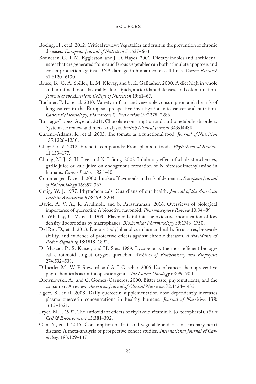- Boeing, H., et al. 2012. Critical review: Vegetables and fruit in the prevention of chronic diseases. *European Journal of Nutrition* 51:637–663.
- Bonnesen, C., I. M. Eggleston, and J. D. Hayes. 2001. Dietary indoles and isothiocyanates that are generated from cruciferous vegetables can both stimulate apoptosis and confer protection against DNA damage in human colon cell lines. *Cancer Research* 61:6120–6130.
- Bruce, B., G. A. Spiller, L. M. Klevay, and S. K. Gallagher. 2000. A diet high in whole and unrefined foods favorably alters lipids, antioxidant defenses, and colon function. *Journal of the American College of Nutrition* 19:61–67.
- Büchner, P. L., et al. 2010. Variety in fruit and vegetable consumption and the risk of lung cancer in the European prospective investigation into cancer and nutrition. *Cancer Epidemiology, Biomarkers & Prevention* 19:2278–2286.
- Buitrago-Lopez, A., et al. 2011. Chocolate consumption and cardiometabolic disorders: Systematic review and meta-analysis. *British Medical Journal* 343:d4488.
- Canene-Adams, K., et al. 2005. The tomato as a functional food. *Journal of Nutrition* 135:1226–1230.
- Cheynier, V. 2012. Phenolic compounds: From plants to foods. *Phytochemical Review* 11:153–177.
- Chung, M. J., S. H. Lee, and N. J. Sung. 2002. Inhibitory effect of whole strawberries, garlic juice or kale juice on endogenous formation of N-nitrosodimethylamine in humans. *Cancer Letters* 182:1–10.
- Commenges, D., et al. 2000. Intake of flavonoids and risk of dementia. *European Journal of Epidemiology* 16:357–363.
- Craig, W. J. 1997. Phytochemicals: Guardians of our health. *Journal of the American Dietetic Association* 97:S199–S204.
- David, A. V. A., R. Arulmoli, and S. Parasuraman. 2016. Overviews of biological importance of quercetin: A bioactive flavonoid. *Pharmacognosy Review* 10:84–89.
- De Whalley, C. V., et al. 1990. Flavonoids inhibit the oxidative modification of low density lipoproteins by macrophages. *Biochemical Pharmacology* 39:1743–1750.
- Del Rio, D., et al. 2013. Dietary (poly)phenolics in human health: Structures, bioavailability, and evidence of protective effects against chronic diseases. *Antioxidants & Redox Signaling* 18:1818–1892.
- Di Mascio, P., S. Kaiser, and H. Sies. 1989. Lycopene as the most efficient biological carotenoid singlet oxygen quencher. *Archives of Biochemistry and Biophysics* 274:532–538.
- D'Incalci, M., W. P. Steward, and A. J. Gescher. 2005. Use of cancer chemopreventive phytochemicals as antineoplastic agents. *The Lancet Oncology* 6:899–904.
- Drewnowski, A., and C. Gomez-Carneros. 2000. Bitter taste, phytonutrients, and the consumer: A review. *American Journal of Clinical Nutrition* 72:1424–1435.
- Egert, S., et al. 2008. Daily quercetin supplementation dose-dependently increases plasma quercetin concentrations in healthy humans. *Journal of Nutrition* 138: 1615–1621.
- Fryer, M. J. 1992. The antioxidant effects of thylakoid vitamin E (a-tocopherol). *Plant Cell & Environment* 15:381–392.
- Gan, Y., et al. 2015. Consumption of fruit and vegetable and risk of coronary heart disease: A meta-analysis of prospective cohort studies. *International Journal of Cardiology* 183:129–137.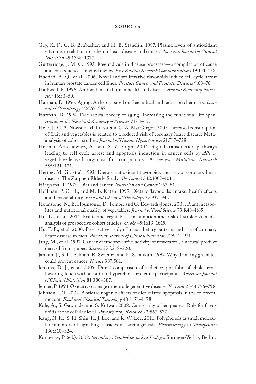- Gey, K. F., G. B. Brubacher, and H. B. Stähelin. 1987. Plasma levels of antioxidant vitamins in relation to ischemic heart disease and cancer. *American Journal of Clinical Nutrition* 45:1368–1377.
- Gutterridge, J. M. C. 1993. Free radicals in disease processes—a compilation of cause and consequence—invited review. *Free Radical Research Communications* 19:141–158.
- Haddad, A. Q., et al. 2006. Novel antiproliferative flavonoids induce cell cycle arrest in human prostate cancer cell lines. *Prostate Cancer and Prostatic Diseases* 9:68–76.
- Halliwell, B. 1996. Antioxidants in human health and disease. *Annual Review of Nutrition* 16:33–50.
- Harman, D. 1956. Aging: A theory based on free radical and radiation chemistry. *Journal of Gerontology* 12:257–263.
- Harman, D. 1994. Free radical theory of aging: Increasing the functional life span. *Annals of the New York Academy of Sciences* 717:1–15.
- He, F. J., C. A. Nowson, M. Lucas, and G. A. MacGregor. 2007. Increased consumption of fruit and vegetables is related to a reduced risk of coronary heart disease: Metaanalysis of cohort studies. *Journal of Human Hypertension* 21:717–728.
- Herman-Antosiewicz, A., and S. V. Singh. 2004. Signal transduction pathways leading to cell cycle arrest and apoptosis induction in cancer cells by *Allium* vegetable-derived organosulfur compounds: A review. *Mutation Research* 555:121–131.
- Hertog, M. G., et al. 1993. Dietary antioxidant flavonoids and risk of coronary heart disease: The Zutphen Elderly Study. *The Lancet* 342:1007–1011.
- Hirayama, T. 1979. Diet and cancer. *Nutrition and Cancer* 1:67–81.
- Hollman, P. C. H., and M. B. Katan. 1999. Dietary flavonoids: Intake, health effects and bioavailability. *Food and Chemical Toxicology* 37:937–942.
- Hounsome, N., B. Hounsome, D. Tomos, and G. Edwards-Jones. 2008. Plant metabolites and nutritional quality of vegetables. *Journal of Food Science* 73:R48–R65.
- Hu, D., et al. 2014. Fruits and vegetables consumption and risk of stroke: A metaanalysis of prospective cohort studies. *Stroke* 45:1613–1619.
- Hu, F. B., et al. 2000. Prospective study of major dietary patterns and risk of coronary heart disease in men. *American Journal of Clinical Nutrition* 72:912–921.
- Jang, M., et al. 1997. Cancer chemopreventive activity of resveratrol, a natural product derived from grapes. *Science* 275:218–220.
- Jankun, J., S. H. Selman, R. Swieroz, and E. S. Jankun. 1997. Why drinking green tea could prevent cancer. *Nature* 387:561.
- Jenkins, D. J., et al. 2005. Direct comparison of a dietary portfolio of cholesterollowering foods with a statin in hypercholesterolemic participants. *American Journal of Clinical Nutrition* 81:380–387.
- Jenner, P. 1994. Oxidative damage in neurodegenerative disease. *The Lancet* 344:796–798.
- Johnson, I. T. 2002. Anticarcinogenic effects of diet-related apoptosis in the colorectal mucosa. *Food and Chemical Toxicology* 40:1171–1178.
- Kale, A., S. Gawande, and S. Kotwal. 2008. Cancer phytotherapeutics: Role for flavonoids at the cellular level. *Phytotherapy Research* 22:567–577.
- Kang, N. H., S. H. Shin, H. J. Lee, and K. W. Lee. 2011. Polyphenols as small molecular inhibitors of signaling cascades in carcinogenesis. *Pharmacology & Therapeutics* 130:310–324.
- Karlovsky, P. (ed.). 2008. *Secondary Metabolites in Soil Ecology*. Springer-Verlag, Berlin.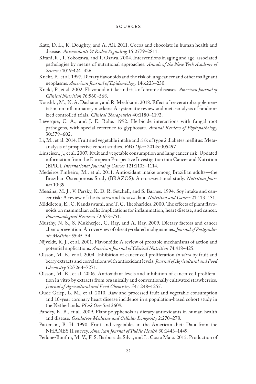- Katz, D. L., K. Doughty, and A. Ali. 2011. Cocoa and chocolate in human health and disease. *Antioxidants & Redox Signaling* 15:2779–2811.
- Kitani, K., T. Yokozawa, and T. Osawa. 2004. Interventions in aging and age-associated pathologies by means of nutritional approaches. *Annals of the New York Academy of Sciences* 1019:424–426.
- Knekt, P., et al. 1997. Dietary flavonoids and the risk of lung cancer and other malignant neoplasms. *American Journal of Epidemiology* 146:223–230.
- Knekt, P., et al. 2002. Flavonoid intake and risk of chronic diseases. *American Journal of Clinical Nutrition* 76:560–568.
- Koushki, M., N. A. Dashatan, and R. Meshkani. 2018. Effect of resveratrol supplementation on inflammatory markers: A systematic review and meta-analysis of randomized controlled trials. *Clinical Therapeutics* 40:1180–1192.
- Lévesque, C. A., and J. E. Rahe. 1992. Herbicide interactions with fungal root pathogens, with special reference to glyphosate. *Annual Review of Phytopathology* 30:579–602.
- Li, M., et al. 2014. Fruit and vegetable intake and risk of type 2 diabetes mellitus: Metaanalysis of prospective cohort studies. *BMJ Open* 2014:e005497.
- Linseisen, J., et al. 2007. Fruit and vegetable consumption and lung cancer risk: Updated information from the European Prospective Investigation into Cancer and Nutrition (EPIC). *International Journal of Cancer* 121:1103–1114.
- Medeiros Pinheiro, M., et al. 2011. Antioxidant intake among Brazilian adults—the Brazilian Osteoporosis Study (BRAZOS): A cross-sectional study. *Nutrition Journal* 10:39.
- Messina, M. J., V. Persky, K. D. R. Setchell, and S. Barnes. 1994. Soy intake and cancer risk: A review of the *in vitro* and *in vivo* data. *Nutrition and Cancer* 21:113–131.
- Middleton, E., C. Kandaswami, and T. C. Theoharides. 2000. The effects of plant flavonoids on mammalian cells: Implications for inflammation, heart disease, and cancer. *Pharmacological Reviews* 52:673–751.
- Murthy, N. S., S. Mukherjee, G. Ray, and A. Ray. 2009. Dietary factors and cancer chemoprevention: An overview of obesity-related malignancies. *Journal of Postgraduate Medicine* 55:45–54.
- Nijveldt, R. J., et al. 2001. Flavonoids: A review of probable mechanisms of action and potential applications. *American Journal of Clinical Nutrition* 74:418–425.
- Olsson, M. E., et al. 2004. Inhibition of cancer cell proliferation *in vitro* by fruit and berry extracts and correlations with antioxidant levels. *Journal of Agricultural and Food Chemistry* 52:7264–7271.
- Olsson, M. E., et al. 2006. Antioxidant levels and inhibition of cancer cell proliferation in vitro by extracts from organically and conventionally cultivated strawberries. *Journal of Agricultural and Food Chemistry* 54:1248–1255.
- Oude Griep, L. M., et al. 2010. Raw and processed fruit and vegetable consumption and 10-year coronary heart disease incidence in a population-based cohort study in the Netherlands. *PLoS One* 5:e13609.
- Pandey, K. B., et al. 2009. Plant polyphenols as dietary antioxidants in human health and disease. *Oxidative Medicine and Cellular Longevity* 2:270–278.
- Patterson, B. H. 1990. Fruit and vegetables in the American diet: Data from the NHANES II survey. *American Journal of Public Health* 80:1443–1449.
- Pedone-Bonfim, M. V., F. S. Barbosa da Silva, and L. Costa Maia. 2015. Production of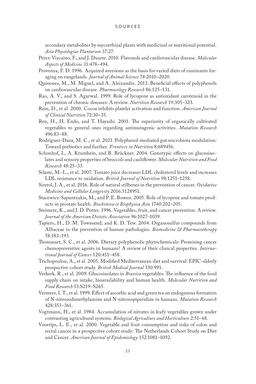secondary metabolites by mycorrhizal plants with medicinal or nutritional potential. *Acta Physiologiae Plantarum* 37:27.

- Perez-Vizcaino, F., and J. Duarte. 2010. Flavonols and cardiovascular disease. *Molecular Aspects of Medicine* 31:478–494.
- Provenza, F. D. 1996. Acquired aversions as the basis for varied diets of ruminants foraging on rangelands. *Journal of Animal Science* 74:2010–2020.
- Quinones, M., M. Miguel, and A. Aleixandre. 2013. Beneficial effects of polyphenols on cardiovascular disease. *Pharmacology Research* 86:125–131.
- Rao, A. V., and S. Agarwal. 1999. Role of lycopene as antioxidant carotenoid in the prevention of chronic diseases: A review. *Nutrition Research* 19:305–323.
- Rein, D., et al. 2000. Cocoa inhibits platelet activation and function. *American Journal of Clinical Nutrition* 72:30–35.
- Ren, H., H. Endo, and T. Hayashi. 2001. The superiority of organically cultivated vegetables to general ones regarding antimutagenic activities. *Mutation Research* 496:83–88.
- Rodríguez-Daza, M. C., et al. 2021. Polyphenol-mediated gut microbiota modulation: Toward prebiotics and further. *Frontiers in Nutrition* 8:689456.
- Schonhof, I., A. Krumbein, and B. Brückner. 2004. Genotypic effects on glucosinolates and sensory properties of broccoli and cauliflower. *Molecular Nutrition and Food Research* 48:25–33.
- Silaste, M.-L., et al. 2007. Tomato juice decreases LDL cholesterol levels and increases LDL resistance to oxidation. *British Journal of Nutrition* 98:1251–1258.
- Sirerol, J. A., et al. 2016. Role of natural stilbenes in the prevention of cancer. *Oxidative Medicine and Cellular Longevity* 2016:3128951.
- Stacewicz-Sapuntzakis, M., and P. E. Bowen. 2005. Role of lycopene and tomato products in prostate health. *Biochimica et Biophysica Acta* 1740:202–205.
- Steimetz, K., and J. D. Potter. 1996. Vegetables, fruit, and cancer prevention: A review. *Journal of the American Dietetic Association* 96:1027–1039.
- Tapiero, H., D. M. Townsend, and K. D. Tew. 2004. Organosulfur compounds from Alliaceae in the prevention of human pathologies. *Biomedicine & Pharmacotherapy* 58:183–193.
- Thomasset, S. C., et al. 2006. Dietary polyphenolic phytochemicals: Promising cancer chemopreventive agents in humans? A review of their clinical properties. *International Journal of Cancer* 120:451–458.
- Trichopoulou, A., et al. 2005. Modified Mediterranean diet and survival: EPIC-elderly prospective cohort study. *British Medical Journal* 330:991.
- Verkerk. R., et al. 2009. Glucosinolates in *Brassica* vegetables: The influence of the food supply chain on intake, bioavailability and human health. *Molecular Nutrition and Food Research* 53:S219–S265.
- Vermeer, I. T., et al. 1999. Effect of ascorbic acid and green tea on endogenous formation of N-nitrosodimethylamine and N-nitrosopiperidine in humans. *Mutation Research* 428:353–361.
- Vogtmann, H., et al. 1984. Accumulation of nitrates in leafy vegetables grown under contrasting agricultural systems. *Biological Agriculture and Horticulture* 2:51–68.
- Voorrips, L. E., et al. 2000. Vegetable and fruit consumption and risks of colon and rectal cancer in a prospective cohort study: The Netherlands Cohort Study on Diet and Cancer. *American Journal of Epidemiology* 152:1081–1092.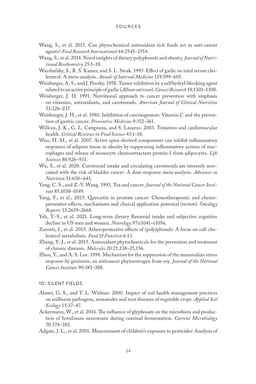- Wang, S., et al. 2011. Can phytochemical antioxidant rich foods act as anti-cancer agents? *Food Research International* 44:2545–2554.
- Wang, S., et al. 2014. Novel insights of dietary polyphenols and obesity. *Journal of Nutritional Biochemistry* 25:1–18.
- Warshafsky, S., R. S. Kamer, and S. L. Sivak. 1993. Effect of garlic on total serum cholesterol: A meta-analysis. *Annals of Internal Medicine* 119:599–605.
- Weisberger, A. S., and J. Pensky. 1958. Tumor inhibition by a sulfhydryl-blocking agent related to an active principle of garlic (*Allium sativum*). *Cancer Research* 18:1301–1308.
- Weisberger, J. H. 1991. Nutritional approach to cancer prevention with emphasis on vitamins, antioxidants, and carotenoids. *American Journal of Clinical Nutrition* 53:226–237.
- Weisburger, J. H., et al. 1980. Inhibition of carcinogenesis: Vitamin C and the prevention of gastric cancer. *Preventive Medicine* 9:352–361.
- Willcox, J. K., G. L. Catignana, and S. Lazarus. 2003. Tomatoes and cardiovascular health. *Critical Reviews in Food Science* 43:1–18.
- Woo, H.-M., et al. 2007. Active spice-derived components can inhibit inflammatory responses of adipose tissue in obesity by suppressing inflammatory actions of macrophages and release of monocyte chemoattractant protein-1 from adipocytes. *Life Sciences* 80:926–931.
- Wu, S., et al. 2020. Carotenoid intake and circulating carotenoids are inversely associated with the risk of bladder cancer: A dose-response meta-analysis. *Advances in Nutrition* 11:630–643.
- Yang, C. S., and Z.-Y. Wang. 1993. Tea and cancer. *Journal of the National Cancer Institute* 85:1038–1049.
- Yang, F., et al., 2015. Quercetin in prostate cancer: Chemotherapeutic and chemopreventive effects, mechanisms and clinical application potential (review). *Oncology Reports* 33:2659–2668.
- Yeh, T.-S., et al. 2021. Long-term dietary flavonoid intake and subjective cognitive decline in US men and women. *Neurology* 97:e1041–e1056.
- Zanotti, I., et al. 2015. Atheroprotective effects of (poly)phenols: A focus on cell cholesterol metabolism. *Food & Function* 6:13.
- Zhang, Y.-J., et al. 2015. Antioxidant phytochemicals for the prevention and treatment of chronic diseases. *Molecules* 20:21,138–21,156.
- Zhou, Y., and A. S. Lee. 1998. Mechanism for the suppression of the mammalian stress response by genistein, an anticancer phytoestrogen from soy. *Journal of the National Cancer Institute* 90:381–388.

## 10: SILENT FIELDS

- Abawi, G. S., and T. L. Widmer. 2000. Impact of soil health management practices on soilborne pathogens, nematodes and root diseases of vegetable crops. *Applied Soil Ecology* 15:37–47.
- Ackermann, W., et al. 2014. The influence of glyphosate on the microbiota and production of botulinum neurotoxin during ruminal fermentation. *Current Microbiology* 70:374–382.
- Adgate, J. L., et al. 2001. Measurement of children's exposure to pesticides: Analysis of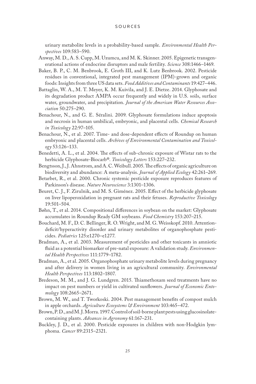urinary metabolite levels in a probability-based sample. *Environmental Health Perspectives* 109:583–590.

- Anway, M. D., A. S. Cupp, M. Uzumcu, and M. K. Skinner. 2005. Epigenetic transgenerational actions of endocrine disruptors and male fertility. *Science* 308:1466–1469.
- Baker, B. P., C. M. Benbrook, E. Groth III, and K. Lutz Benbrook. 2002. Pesticide residues in conventional, integrated pest management (IPM)-grown and organic foods: Insights from three US data sets. *Food Additives and Contaminants* 19:427–446.
- Battaglin, W. A., M. T. Meyer, K. M. Kuivila, and J. E. Dietze. 2014. Glyphosate and its degradation product AMPA occur frequently and widely in U.S. soils, surface water, groundwater, and precipitation. *Journal of the American Water Resources Association* 50:275–290.
- Benachour, N., and G. E. Séralini. 2009. Glyphosate formulations induce apoptosis and necrosis in human umbilical, embryonic, and placental cells. *Chemical Research in Toxicology* 22:97–105.
- Benachour, N., et al. 2007. Time- and dose-dependent effects of Roundup on human embryonic and placental cells. *Archives of Environmental Contamination and Toxicology* 53:126–133.
- Benedetti, A. L., et al. 2004. The effects of sub-chronic exposure of Wistar rats to the herbicide Glyphosate-Biocarb®. *Toxicology Letters* 153:227–232.
- Bengtsson, J., J. Ahnstrom, and A. C. Weibull. 2005. The effects of organic agriculture on biodiversity and abundance: A meta-analysis. *Journal of Applied Ecology* 42:261–269.
- Betarbet, R., et al. 2000. Chronic systemic pesticide exposure reproduces features of Parkinson's disease. *Nature Neuroscience* 3:1301–1306.
- Beuret, C. J., F. Zirulnik, and M. S. Giménez. 2005. Effect of the herbicide glyphosate on liver lipoperoxidation in pregnant rats and their fetuses. *Reproductive Toxicology* 19:501–504.
- Bøhn, T., et al. 2014. Compositional differences in soybean on the market: Glyphosate accumulates in Roundup Ready GM soybeans. *Food Chemistry* 153:207–215.
- Bouchard, M. F., D. C. Bellinger, R. O. Wright, and M. G. Weisskopf. 2010. Attentiondeficit/hyperactivity disorder and urinary metabolites of organophosphate pesticides. *Pediatrics* 125:e1270–e1277.
- Bradman, A., et al. 2003. Measurement of pesticides and other toxicants in amniotic fluid as a potential biomarker of pre-natal exposure: A validation study. *Environmental Health Perspectives* 111:1779–1782.
- Bradman, A., et al. 2005. Organophosphate urinary metabolite levels during pregnancy and after delivery in women living in an agricultural community. *Environmental Health Perspectives* 113:1802–1807.
- Bredeson, M. M., and J. G. Lundgren. 2015. Thiamethoxam seed treatments have no impact on pest numbers or yield in cultivated sunflowers. *Journal of Economic Entomology* 108:2665–2671.
- Brown, M. W., and T. Tworkoski. 2004. Pest management benefits of compost mulch in apple orchards. *Agriculture Ecosystems & Environment* 103:465–472.
- Brown, P. D., and M. J. Morra. 1997. Control of soil-borne plant pests using glucosinolatecontaining plants. *Advances in Agronomy* 61:167–231.
- Buckley, J. D., et al. 2000. Pesticide exposures in children with non-Hodgkin lymphoma. *Cancer* 89:2315–2321.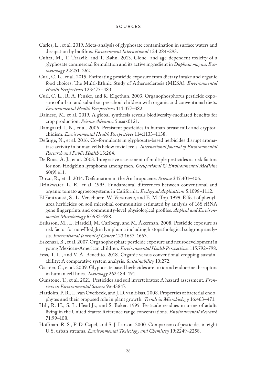- Carles, L., et al. 2019. Meta-analysis of glyphosate contamination in surface waters and dissipation by biofilms. *Environment International* 124:284–293.
- Cuhra, M., T. Traavik, and T. Bøhn. 2013. Clone- and age-dependent toxicity of a glyphosate commercial formulation and its active ingredient in *Daphnia magna*. *Ecotoxicology* 22:251–262.
- Curl, C. L., et al. 2015. Estimating pesticide exposure from dietary intake and organic food choices: The Multi-Ethnic Study of Atherosclerosis (MESA). *Environmental Health Perspectives* 123:475–483.
- Curl, C. L., R. A. Fenske, and K. Elgethun. 2003. Organophosphorus pesticide exposure of urban and suburban preschool children with organic and conventional diets. *Environmental Health Perspe*c*tives* 111:377–382.
- Dainese, M. et al. 2019. A global synthesis reveals biodiversity-mediated benefits for crop production. *Science Advances* 5:eaax0121.
- Damgaard, I. N., et al. 2006. Persistent pesticides in human breast milk and cryptorchidism. *Environmental Health Perspectives* 114:1133–1138.
- Defarge, N., et al. 2016. Co-formulants in glyphosate-based herbicides disrupt aromatase activity in human cells below toxic levels. *International Journal of Environmental Research and Public Health* 13:264.
- De Roos, A. J., et al. 2003. Integrative assessment of multiple pesticides as risk factors for non-Hodgkin's lymphoma among men. *Occupational & Environmental Medicine* 60(9):e11.
- Dirzo, R., et al. 2014. Defaunation in the Anthropocene. *Science* 345:401–406.
- Drinkwater, L. E., et al. 1995. Fundamental differences between conventional and organic tomato agroecosystems in California. *Ecological Applications* 5:1098–1112.
- El Fantroussi, S., L. Verschuere, W. Verstraete, and E. M. Top. 1999. Effect of phenylurea herbicides on soil microbial communities estimated by analysis of 16S rRNA gene fingerprints and community-level physiological profiles. *Applied and Environmental Microbiology* 65:982–988.
- Eriksson, M., L. Hardell, M. Carlberg, and M. Åkerman. 2008. Pesticide exposure as risk factor for non-Hodgkin lymphoma including histopathological subgroup analysis. *International Journal of Cancer* 123:1657–1663.
- Eskenazi, B., et al. 2007. Organophosphate pesticide exposure and neurodevelopment in young Mexican-American children. *Environmental Health Perspectives* 115:792–798.
- Fess, T. L., and V. A. Benedito. 2018. Organic versus conventional cropping sustainability: A comparative system analysis. *Sustainability* 10:272.
- Gasnier, C., et al. 2009. Glyphosate based herbicides are toxic and endocrine disruptors in human cell lines. *Toxicology* 262:184–191.
- Gunstone, T., et al. 2021. Pesticides and soil invertebrates: A hazard assessment. *Frontiers in Environmental Science* 9:643847.
- Hardoim, P. R., L. van Overbeek, and J. D. van Elsas. 2008. Properties of bacterial endophytes and their proposed role in plant growth. *Trends in Microbiology* 16:463–471.
- Hill, R. H., S. L. Head Jr., and S. Baker. 1995. Pesticide residues in urine of adults living in the United States: Reference range concentrations. *Environmental Research* 71:99–108.
- Hoffman, R. S., P. D. Capel, and S. J. Larson. 2000. Comparison of pesticides in eight U.S. urban streams. *Environmental Toxicology and Chemistry* 19:2249–2258.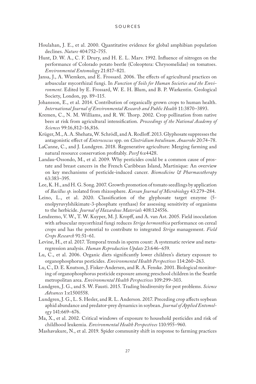- Houlahan, J. E., et al. 2000. Quantitative evidence for global amphibian population declines. *Nature* 404:752–755.
- Hunt, D. W. A., C. F. Drury, and H. E. L. Marv. 1992. Influence of nitrogen on the performance of Colorado potato beetle (Coleoptera: Chrysomelidae) on tomatoes. *Environmental Entomology* 21:817–821.
- Jansa, J., A. Wiemken, and E. Frossard. 2006. The effects of agricultural practices on arbuscular mycorrhizal fungi. In *Function of Soils for Human Societies and the Environment*. Edited by E. Frossard, W. E. H. Blum, and B. P. Warkentin. Geological Society, London, pp. 89–115.
- Johansson, E., et al. 2014. Contribution of organically grown crops to human health. *International Journal of Environmental Research and Public Health* 11:3870–3893.
- Kremen, C., N. M. Williams, and R. W. Thorp. 2002. Crop pollination from native bees at risk from agricultural intensification. *Proceedings of the National Academy of Sciences* 99:16,812–16,816.
- Krüger, M., A. A. Shehata, W. Schrödl, and A. Rodloff. 2013. Glyphosate suppresses the antagonistic effect of *Enterococcus* spp. on *Clostridium botulinum*. *Anaerobe* 20:74–78.
- LaCanne, C., and J. Lundgren. 2018. Regenerative agriculture: Merging farming and natural resource conservation profitably. *PeerJ* 6:e4428.
- Landau-Ossondo, M., et al. 2009. Why pesticides could be a common cause of prostate and breast cancers in the French Caribbean Island, Martinique: An overview on key mechanisms of pesticide-induced cancer. *Biomedicine & Pharmacotherapy* 63:383–395.
- Lee, K. H., and H. G. Song. 2007. Growth promotion of tomato seedlings by application of *Bacillus sp.* isolated from rhizosphere. *Korean Journal of Microbiology* 43:279–284.
- Leino, L., et al. 2020. Classification of the glyphosate target enzyme (5 enolpyruvylshikimate-3-phosphate synthase) for assessing sensitivity of organisms to the herbicide. *Journal of Hazardous Materials* 408:124556.
- Lendzemo, V. W., T. W. Kuyper, M. J. Kropff, and A. van Ast. 2005. Field inoculation with arbuscular mycorrhizal fungi reduces *Striga hermonthica* performance on cereal crops and has the potential to contribute to integrated *Striga* management. *Field Crops Research* 91:51–61.
- Levine, H., et al. 2017. Temporal trends in sperm count: A systematic review and metaregression analysis. *Human Reproduction Update* 23:646–659.
- Lu, C., et al. 2006. Organic diets significantly lower children's dietary exposure to organophosphorus pesticides. *Environmental Health Perspectives* 114:260–263.
- Lu, C., D. E. Knutson, J. Fisker-Andersen, and R. A. Fenske. 2001. Biological monitoring of organophosphorus pesticide exposure among preschool children in the Seattle metropolitan area. *Environmental Health Perspectives* 109:299–303.
- Lundgren, J. G., and S. W. Fausti. 2015. Trading biodiversity for pest problems. *Science Advances* 1:e1500558.
- Lundgren, J. G., L. S. Hesler, and R. L. Anderson. 2017. Preceding crop affects soybean aphid abundance and predator-prey dynamics in soybean. *Journal of Applied Entomology* 141:669–676.
- Ma, X., et al. 2002. Critical windows of exposure to household pesticides and risk of childhood leukemia. *Environmental Health Perspectives* 110:955–960.
- Mashavakure, N., et al. 2019. Spider community shift in response to farming practices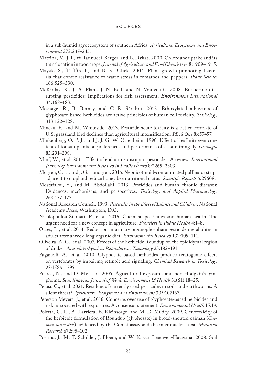in a sub-humid agroecosystem of southern Africa. *Agriculture, Ecosystems and Environment* 272:237–245.

- Mattina, M. J. I., W. Iannucci-Berger, and L. Dykas. 2000. Chlordane uptake and its translocation in food crops. *Journal of Agriculture and Food Chemistry* 48:1909–1915.
- Mayak, S., T. Tirosh, and B. R. Glick. 2004. Plant growth-promoting bacteria that confer resistance to water stress in tomatoes and peppers. *Plant Science* 166:525–530.
- McKinlay, R., J. A. Plant, J. N. Bell, and N. Voulvoulis. 2008. Endocrine disrupting pesticides: Implications for risk assessment. *Environment International* 34:168–183.
- Mesnage, R., B. Bernay, and G.-E. Séralini. 2013. Ethoxylated adjuvants of glyphosate-based herbicides are active principles of human cell toxicity. *Toxicology* 313:122–128.
- Mineau, P., and M. Whiteside. 2013. Pesticide acute toxicity is a better correlate of U.S. grassland bird declines than agricultural intensification. *PLoS One* 8:e57457.
- Minkenberg, O. P. J., and J. J. G. W. Ottenheim. 1990. Effect of leaf nitrogen content of tomato plants on preferences and performance of a leafmining fly. *Oecologia* 83:291–298.
- Mnif, W., et al. 2011. Effect of endocrine disruptor pesticides: A review. *International Journal of Environmental Research in Public Health* 8:2265–2303.
- Mogren, C. L., and J. G. Lundgren. 2016. Neonicotinoid-contaminated pollinator strips adjacent to cropland reduce honey bee nutritional status. *Scientific Reports* 6:29608.
- Mostafalou, S., and M. Abdollahi. 2013. Pesticides and human chronic diseases: Evidences, mechanisms, and perspectives. *Toxicology and Applied Pharmacology* 268:157–177.
- National Research Council. 1993. *Pesticides in the Diets of Infants and Children*. National Academy Press, Washington, D.C.
- Nicolopoulou-Stamati, P., et al. 2016. Chemical pesticides and human health: The urgent need for a new concept in agriculture. *Frontiers in Public Health* 4:148.
- Oates, L., et al. 2014. Reduction in urinary organophosphate pesticide metabolites in adults after a week-long organic diet. *Environmental Research* 132:105–111.
- Oliveira, A. G., et al. 2007. Effects of the herbicide Roundup on the epididymal region of drakes *Anas platyrhynchos*. *Reproductive Toxicology* 23:182–191.
- Paganelli, A., et al. 2010. Glyphosate-based herbicides produce teratogenic effects on vertebrates by impairing retinoic acid signaling. *Chemical Research in Toxicology* 23:1586–1595.
- Pearce, N., and D. McLean. 2005. Agricultural exposures and non-Hodgkin's lymphoma. *Scandinavian Journal of Work, Environment & Health* 31(S1):18–25.
- Pelosi, C., et al. 2021. Residues of currently used pesticides in soils and earthworms: A silent threat? *Agriculture, Ecosystems and Environment* 305:107167.
- Peterson Meyers, J., et al. 2016. Concerns over use of glyphosate-based herbicides and risks associated with exposures: A consensus statement. *Environmental Health* 15:19.
- Poletta, G. L., A. Larriera, E. Kleinsorge, and M. D. Mudry. 2009. Genotoxicity of the herbicide formulation of Roundup (glyphosate) in broad-snouted caiman (*Caiman latirostris*) evidenced by the Comet assay and the micronucleus test. *Mutation Research* 672:95–102.
- Postma, J., M. T. Schilder, J. Bloem, and W. K. van Leeuwen-Haagsma. 2008. Soil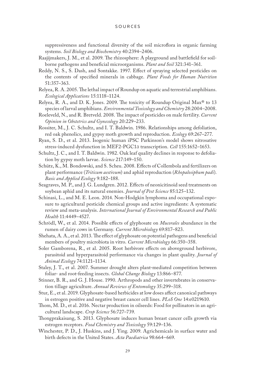suppressiveness and functional diversity of the soil microflora in organic farming systems. *Soil Biology and Biochemistry* 40:2394–2406.

- Raajijmakers, J. M., et al. 2009. The rhizosphere: A playground and battlefield for soilborne pathogens and beneficial microorganisms. *Plant and Soil* 321:341–361.
- Reddy, N. S., S. Dash, and Sontakke. 1997. Effect of spraying selected pesticides on the contents of specified minerals in cabbage. *Plant Foods for Human Nutrition* 51:357–363.
- Relyea, R. A. 2005. The lethal impact of Roundup on aquatic and terrestrial amphibians. *Ecological Applications* 15:1118–1124.
- Relyea, R. A., and D. K. Jones. 2009. The toxicity of Roundup Original  $Max^{\otimes}$  to 13 species of larval amphibians. *Environmental Toxicology and Chemistry* 28:2004–2008.
- Roeleveld, N., and R. Bretveld. 2008. The impact of pesticides on male fertility. *Current Opinion in Obstetrics and Gynecology* 20:229–233.
- Rossiter, M., J. C. Schultz, and I. T. Baldwin. 1986. Relationships among defoliation, red oak phenolics, and gypsy moth growth and reproduction. *Ecology* 69:267–277.
- Ryan, S. D., et al. 2013. Isogenic human iPSC Parkinson's model shows nitrosative stress-induced dysfunction in MEF2-PGC1a transcription. *Cell* 155:1652–1653.
- Schultz, J. C., and I. T. Baldwin. 1982. Oak leaf quality declines in response to defoliation by gypsy moth larvae. *Science* 217:149–150.
- Schütz, K., M. Bondowski, and S. Scheu. 2008. Effects of Collembola and fertilizers on plant performance (*Triticum aestivum*) and aphid reproduction (*Rhopalosiphum padi*). *Basic and Applied Ecology* 9:182–188.
- Seagraves, M. P., and J. G. Lundgren. 2012. Effects of neonicitinoid seed treatments on soybean aphid and its natural enemies. *Journal of Pest Science* 85:125–132.
- Schinasi, L., and M. E. Leon. 2014. Non-Hodgkin lymphoma and occupational exposure to agricultural pesticide chemical groups and active ingredients: A systematic review and meta-analysis. *International Journal of Environmental Research and Public Health* 11:4449–4527.
- Schrödl, W., et al. 2014. Possible effects of glyphosate on *Mucorales* abundance in the rumen of dairy cows in Germany. *Current Microbiology* 69:817–823.
- Shehata, A. A., et al. 2013. The effect of glyphosate on potential pathogens and beneficial members of poultry microbiota in vitro. *Current Microbiology* 66:350–358.
- Soler Gamborena, R., et al. 2005. Root herbivore effects on aboveground herbivore, parasitoid and hyperparasitoid performance via changes in plant quality. *Journal of Animal Ecology* 74:1121–1134.
- Staley, J. T., et al. 2007. Summer drought alters plant-mediated competition between foliar- and root-feeding insects. *Global Change Biology* 13:866–877.
- Stinner, B. R., and G. J. House. 1990. Arthropods and other invertebrates in conservation tillage agriculture. *Annual Reviews of Entomology* 35:299–318.
- Stur, E., et al. 2019. Glyphosate-based herbicides at low doses affect canonical pathways in estrogen positive and negative breast cancer cell lines. *PLoS One* 14:e0219610.
- Thom, M. D., et al. 2016. Nectar production in oilseeds: Food for pollinators in an agricultural landscape. *Crop Science* 56:727–739.
- Thongprakaisang, S. 2013. Glyphosate induces human breast cancer cells growth via estrogen receptors. *Food Chemistry and Toxicology* 59:129–136.
- Winchester, P. D., J. Huskins, and J. Ying. 2009. Agrichemicals in surface water and birth defects in the United States. *Acta Paediatrica* 98:664–669.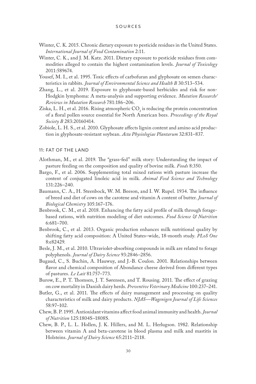- Winter, C. K. 2015. Chronic dietary exposure to pesticide residues in the United States. *International Journal of Food Contamination* 2:11.
- Winter, C. K., and J. M. Katz. 2011. Dietary exposure to pesticide residues from commodities alleged to contain the highest contamination levels. *Journal of Toxicology* 2011:589674.
- Yousef, M. I., et al. 1995. Toxic effects of carbofuran and glyphosate on semen characteristics in rabbits. *Journal of Environmental Science and Health B* 30:513–534.
- Zhang, L., et al. 2019. Exposure to glyphosate-based herbicides and risk for non-Hodgkin lymphoma: A meta-analysis and supporting evidence. *Mutation Research/ Reviews in Mutation Research* 781:186–206.
- Ziska, L. H., et al. 2016. Rising atmospheric  $\mathrm{CO}_2$  is reducing the protein concentration of a floral pollen source essential for North American bees. *Proceedings of the Royal Society B* 283:20160414.
- Zobiole, L. H. S., et al. 2010. Glyphosate affects lignin content and amino acid production in glyphosate-resistant soybean. *Acta Physiologiae Plantarum* 32:831–837.

## 11: FAT OF THE LAND

- Alothman, M., et al. 2019. The "grass-fed" milk story: Understanding the impact of pasture feeding on the composition and quality of bovine milk. *Foods* 8:350.
- Bargo, F., et al. 2006. Supplementing total mixed rations with pasture increase the content of conjugated linoleic acid in milk. *Animal Feed Science and Technology* 131:226–240.
- Baumann, C. A., H. Steenbock, W. M. Beeson, and I. W. Rupel. 1934. The influence of breed and diet of cows on the carotene and vitamin A content of butter. *Journal of Biological Chemistry* 105:167–176.
- Benbrook, C. M., et al. 2018. Enhancing the fatty acid profile of milk through foragebased rations, with nutrition modeling of diet outcomes. *Food Science & Nutrition* 6:681–700.
- Benbrook, C., et al. 2013. Organic production enhances milk nutritional quality by shifting fatty acid composition: A United States–wide, 18-month study. *PLoS One* 8:e82429.
- Besle, J. M., et al. 2010. Ultraviolet-absorbing compounds in milk are related to forage polyphenols. *Journal of Dairy Science* 93:2846–2856.
- Bugaud, C., S. Buchin, A. Hauwuy, and J.-B. Coulon. 2001. Relationships between flavor and chemical composition of Abondance cheese derived from different types of pastures. *Le Lait* 81:757–773.
- Burow, E., P. T. Thomsen, J. T. Sørensen, and T. Rousing. 2011. The effect of grazing on cow mortality in Danish dairy herds. *Preventive Veterinary Medicine* 100:237–241.
- Butler, G., et al. 2011. The effects of dairy management and processing on quality characteristics of milk and dairy products. *NJAS—Wagenigen Journal of Life Sciences*  58:97–102.
- Chew, B. P. 1995. Antioxidant vitamins affect food animal immunity and health. *Journal of Nutrition* 125:1804S–1808S.
- Chew, B. P., L. L. Hollen, J. K. Hillers, and M. L. Herlugson. 1982. Relationship between vitamin A and beta-carotene in blood plasma and milk and mastitis in Holsteins. *Journal of Dairy Science* 65:2111–2118.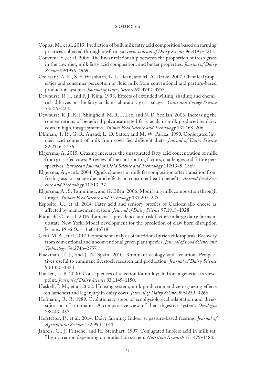- Coppa, M., et al. 2013. Prediction of bulk milk fatty acid composition based on farming practices collected through on-farm surveys. *Journal of Dairy Science* 96:4197–4211.
- Couvreur, S., et al. 2006. The linear relationship between the proportion of fresh grass in the cow diet, milk fatty acid composition, and butter properties. *Journal of Dairy Science* 89:1956–1969.
- Croissant, A. E., S. P. Washburn, L. L. Dean, and M. A. Drake. 2007. Chemical properties and consumer perception of fluid milk from conventional and pasture-based production systems. *Journal of Dairy Science* 90:4942–4953.
- Dewhurst, R. J., and P. J. King. 1998. Effects of extended wilting, shading and chemical additives on the fatty acids in laboratory grass silages. *Grass and Forage Science* 53:219–224.
- Dewhurst, R. J., K. J. Shingfield, M. R. F. Lee, and N. D. Scollan. 2006. Increasing the concentrations of beneficial polyunsaturated fatty acids in milk produced by dairy cows in high-forage systems. *Animal Feed Science and Technology* 131:168–206.
- Dhiman, T. R., G. R. Anand, L. D. Satter, and M. W. Pariza. 1999. Conjugated linoleic acid content of milk from cows fed different diets. *Journal of Dairy Science* 82:2146–2156.
- Elgersma, A. 2015. Grazing increases the unsaturated fatty acid concentration of milk from grass-fed cows: A review of the contributing factors, challenges and future perspectives. *European Journal of Lipid Science and Technology* 117:1345–1369.
- Elgersma, A., et al., 2004. Quick changes in milk fat composition after transition from fresh grass to a silage diet and effects on consumer health benefits. *Animal Feed Science and Technology* 117:13–27.
- Elgersma, A., S. Tamminga, and G. Ellen. 2006. Modifying milk composition through forage. *Animal Feed Science and Technology* 131:207–225.
- Esposito, G., et al. 2014. Fatty acid and sensory profiles of Caciocavallo cheese as affected by management system. *Journal of Dairy Science* 97:1918–1928.
- Foditsch, C., et al. 2016. Lameness prevalence and risk factors in large dairy farms in upstate New York: Model development for the prediction of claw horn disruption lesions. *PLoS One* 11:e0146718.
- Gedi, M. A., et al. 2017. Component analysis of nutritionally rich chloroplasts: Recovery from conventional and unconventional green plant species. *Journal of Food Science and Technology* 54:2746–2757.
- Hackman, T. J., and J. N. Spain. 2010. Ruminant ecology and evolution: Perspectives useful to ruminant livestock research and production. *Journal of Dairy Science* 93:1320–1334.
- Hansen, L. B. 2000. Consequences of selection for milk yield from a geneticist's viewpoint. *Journal of Dairy Science* 83:1145–1150.
- Haskell, J. M., et al. 2002. Housing system, milk production and zero-grazing effects on lameness and leg injury in dairy cows. *Journal of Dairy Science* 89:4259–4266.
- Hofmann, R. R. 1989. Evolutionary steps of ecophysiological adaptation and diversification of ruminants: A comparative view of their digestive system. *Oecologia* 78:443–457.
- Hofstetter, P., et al. 2014. Dairy farming: Indoor v. pasture-based feeding. *Journal of Agricultural Science* 152:994–1011.
- Jahreis, G., J. Fritsche, and H. Steinhart. 1997. Conjugated linoleic acid in milk fat: High variation depending on production system. *Nutrition Research* 17:1479–1484.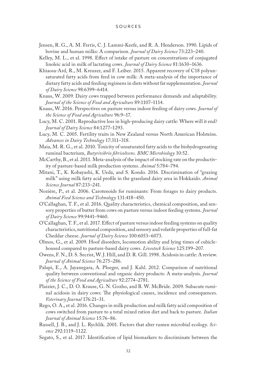- Jensen, R. G., A. M. Ferris, C. J. Lammi-Keefe, and R. A. Henderson. 1990. Lipids of bovine and human milks: A comparison. *Journal of Dairy Science* 73:223–240.
- Kelley, M. L., et al. 1998. Effect of intake of pasture on concentrations of conjugated linoleic acid in milk of lactating cows. *Journal of Dairy Science* 81:1630–1636.
- Khiaosa-Ard, R., M. Kreuzer, and F. Leiber. 2015. Apparent recovery of C18 polyunsaturated fatty acids from feed in cow milk: A meta-analysis of the importance of dietary fatty acids and feeding regimens in diets without fat supplementation. *Journal of Dairy Science* 98:6399–6414.
- Knaus, W. 2009. Dairy cows trapped between performance demands and adaptability. *Journal of the Science of Food and Agriculture* 89:1107–1114.
- Knaus, W. 2016. Perspectives on pasture versus indoor feeding of dairy cows. *Journal of the Science of Food and Agriculture* 96:9–17.
- Lucy, M. C. 2001. Reproductive loss in high-producing dairy cattle: Where will it end? *Journal of Dairy Science* 84:1277–1293.
- Lucy, M. C. 2005. Fertility traits in New Zealand versus North American Holsteins. *Advances in Dairy Technology* 17:311–318.
- Maia, M. R. G., et al. 2010. Toxicity of unsaturated fatty acids to the biohydrogenating ruminal bacterium, *Butyrivibrio fibrisolvens*. *BMC Microbiology* 10:52.
- McCarthy, B., et al. 2011. Meta-analysis of the impact of stocking rate on the productivity of pasture-based milk production systems. *Animal* 5:784–794.
- Mitani, T., K. Kobayashi, K. Ueda, and S. Kondo. 2016. Discrimination of "grazing milk" using milk fatty acid profile in the grassland dairy area in Hokkaido. *Animal Science Journal* 87:233–241.
- Nozière, P., et al. 2006. Carotenoids for ruminants: From forages to dairy products. *Animal Feed Science and Technology* 131:418–450.
- O'Callaghan, T. F., et al. 2016. Quality characteristics, chemical composition, and sensory properties of butter from cows on pasture versus indoor feeding systems. *Journal of Dairy Science* 99:9441–9460.
- O'Callaghan, T. F., et al. 2017. Effect of pasture versus indoor feeding systems on quality characteristics, nutritional composition, and sensory and volatile properties of full-fat Cheddar cheese. *Journal of Dairy Science* 100:6053–6073.
- Olmos, G., et al. 2009. Hoof disorders, locomotion ability and lying times of cubiclehoused compared to pasture-based dairy cows. *Livestock Science* 125:199–207.
- Owens, F. N., D. S. Secrist, W. J. Hill, and D. R. Gill. 1998. Acidosis in cattle: A review. *Journal of Animal Science* 76:275–286.
- Palupi, E., A. Jayanegara, A. Ploeger, and J. Kahl. 2012. Comparison of nutritional quality between conventional and organic dairy products: A meta-analysis. *Journal of the Science of Food and Agriculture* 92:2774–2781.
- Plaizier, J. C., D. O. Krause, G. N. Gozho, and B. W. McBride. 2009. Subacute ruminal acidosis in dairy cows: The physiological causes, incidence and consequences. *Veterinary Journal* 176:21–31.
- Rego, O. A., et al. 2016. Changes in milk production and milk fatty acid composition of cows switched from pasture to a total mixed ration diet and back to pasture. *Italian Journal of Animal Science* 15:76–86.
- Russell, J. B., and J. L. Rychlik. 2001. Factors that alter rumen microbial ecology. *Science* 292:1119–1122.
- Segato, S., et al. 2017. Identification of lipid biomarkers to discriminate between the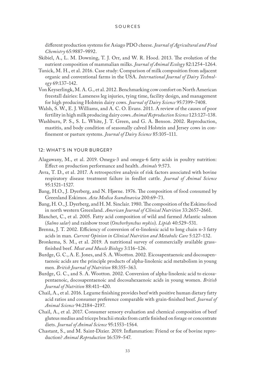different production systems for Asiago PDO cheese. *Journal of Agricultural and Food Chemistry* 65:9887–9892.

- Skibiel, A., L. M. Downing, T. J. Orr, and W. R. Hood. 2013. The evolution of the nutrient composition of mammalian milks. *Journal of Animal Ecology* 82:1254–1264.
- Tunick, M. H., et al. 2016. Case study: Comparison of milk composition from adjacent organic and conventional farms in the USA. *International Journal of Dairy Technology* 69:137–142.
- Von Keyserlingk, M. A. G., et al. 2012. Benchmarking cow comfort on North American freestall dairies: Lameness leg injuries, tying time, facility design, and management for high producing Holstein dairy cows. *Journal of Dairy Science* 95:7399–7408.
- Walsh, S. W., E. J. Williams, and A. C. O. Evans. 2011. A review of the causes of poor fertility in high milk producing dairy cows. *Animal Reproduction Science* 123:127–138.
- Washburn, P. S., S. L. White, J. T. Green, and G. A. Benson. 2002. Reproduction, mastitis, and body condition of seasonally calved Holstein and Jersey cows in confinement or pasture systems. *Journal of Dairy Science* 85:105–111.

## 12: WHAT'S IN YOUR BURGER?

- Alagawany, M., et al. 2019. Omega-3 and omega-6 fatty acids in poultry nutrition: Effect on production performance and health. *Animals* 9:573.
- Avra, T. D., et al. 2017. A retrospective analysis of risk factors associated with bovine respiratory disease treatment failure in feedlot cattle. *Journal of Animal Science* 95:1521–1527.
- Bang, H.O., J. Dyerberg, and N. Hjørne. 1976. The composition of food consumed by Greenland Eskimos*. Acta Medica Scandinavica* 200:69–73.
- Bang, H. O., J. Dyerberg, and H. M. Sinclair. 1980. The composition of the Eskimo food in north western Greenland. *American Journal of Clinical Nutrition* 33:2657–2661.
- Blanchet, C., et al. 2005. Fatty acid composition of wild and farmed Atlantic salmon (*Salmo salar*) and rainbow trout (*Onchorhynchus mykiss*). *Lipids* 40:529–531.
- Brenna, J. T. 2002. Efficiency of conversion of  $\alpha$ -linolenic acid to long chain n-3 fatty acids in man. *Current Opinion in Clinical Nutrition and Metabolic Care* 5:127–132.
- Bronkema, S. M., et al. 2019. A nutritional survey of commercially available grassfinished beef. *Meat and Muscle Biology* 3:116–126.
- Burdge, G. C., A. E. Jones, and S. A. Wootton. 2002. Eicosapentaenoic and docosapentaenoic acids are the principle products of alpha-linolenic acid metabolism in young men. *British Journal of Nutrition* 88:355–363.
- Burdge, G. C., and S. A. Wootton. 2002. Conversion of alpha-linolenic acid to eicosapentaenoic, docosapentaenoic and docosahexaenoic acids in young women. *British Journal of Nutrition* 88:411–420.
- Chail, A., et al. 2016. Legume finishing provides beef with positive human dietary fatty acid ratios and consumer preference comparable with grain-finished beef. *Journal of Animal Science* 94:2184–2197.
- Chail, A., et al. 2017. Consumer sensory evaluation and chemical composition of beef gluteus medius and triceps brachii steaks from cattle finished on forage or concentrate diets. *Journal of Animal Science* 95:1553–1564.
- Chastant, S., and M. Saint-Dizier. 2019. Inflammation: Friend or foe of bovine reproduction? *Animal Reproduction* 16:539–547.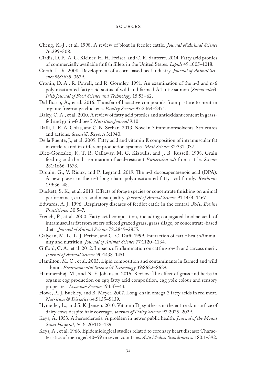- Cheng, K.-J., et al. 1998. A review of bloat in feedlot cattle. *Journal of Animal Science* 76:299–308.
- Cladis, D. P., A. C. Kleiner, H. H. Freiser, and C. R. Santerre. 2014. Fatty acid profiles of commercially available finfish fillets in the United States. *Lipids* 49:1005–1018.
- Corah, L. R. 2008. Development of a corn-based beef industry. *Journal of Animal Science* 86:3635–3639.
- Cronin, D. A., R. Powell, and R. Gormley. 1991. An examination of the n-3 and n-6 polyunsaturated fatty acid status of wild and farmed Atlantic salmon (*Salmo salar*). *Irish Journal of Food Science and Technology* 15:53–62.
- Dal Bosco, A., et al. 2016. Transfer of bioactive compounds from pasture to meat in organic free-range chickens. *Poultry Science* 95:2464–2471.
- Daley, C. A., et al. 2010. A review of fatty acid profiles and antioxidant content in grassfed and grain-fed beef. *Nutrition Journal* 9:10.
- Dalli, J., R. A. Colas, and C. N. Serhan. 2013. Novel n-3 immunoresolvents: Structures and actions. *Scientific Reports* 3:1940.
- De la Fuente, J., et al. 2009. Fatty acid and vitamin E composition of intramuscular fat in cattle reared in different production systems. *Meat Science* 82:331–337.
- Diez-Gonzalez, F., T. R. Callaway, M. G. Kizoulis, and J. B. Russell. 1998. Grain feeding and the dissemination of acid-resistant *Escherichia coli* from cattle. *Science* 281:1666–1678.
- Drouin, G., V. Rioux, and P. Legrand. 2019. The n-3 docosapentaenoic acid (DPA): A new player in the n-3 long chain polyunsaturated fatty acid family. *Biochimie* 159:36–48.
- Duckett, S. K., et al. 2013. Effects of forage species or concentrate finishing on animal performance, carcass and meat quality. *Journal of Animal Science* 91:1454–1467.
- Edwards, A. J. 1996. Respiratory diseases of feedlot cattle in the central USA. *Bovine Practitioner* 30:5–7.
- French, P., et al. 2000. Fatty acid composition, including conjugated linoleic acid, of intramuscular fat from steers offered grazed grass, grass silage, or concentrate-based diets. *Journal of Animal Science* 78:2849–2855.
- Galyean, M. L., L. J. Perino, and G. C. Duff. 1999. Interaction of cattle health/immunity and nutrition. *Journal of Animal Science* 77:1120–1134.
- Gifford, C. A., et al. 2012. Impacts of inflammation on cattle growth and carcass merit. *Journal of Animal Science* 90:1438–1451.
- Hamilton, M. C., et al. 2005. Lipid composition and contaminants in farmed and wild salmon. *Environmental Science & Technology* 39:8622–8629.
- Hammershøj, M., and N. F. Johansen. 2016. Review: The effect of grass and herbs in organic egg production on egg fatty acid composition, egg yolk colour and sensory properties. *Livestock Science* 194:37–43.
- Howe, P., J. Buckley, and B. Meyer. 2007. Long-chain omega-3 fatty acids in red meat. *Nutrition & Dietetics* 64:S135–S139.
- Hymøller, L., and S. K. Jensen. 2010. Vitamin  $D<sub>3</sub>$  synthesis in the entire skin surface of dairy cows despite hair coverage. *Journal of Dairy Science* 93:2025–2029.
- Keys, A. 1953. Atherosclerosis: A problem in newer public health. *Journal of the Mount Sinai Hospital, N. Y.* 20:118–139.
- Keys, A., et al. 1966. Epidemiological studies related to coronary heart disease: Characteristics of men aged 40–59 in seven countries. *Acta Medica Scandinavica* 180:1–392.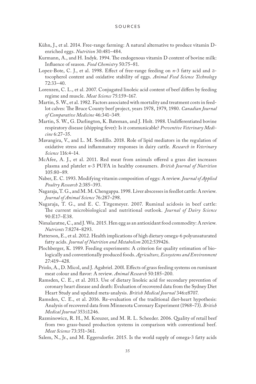- Kühn, J., et al. 2014. Free-range farming: A natural alternative to produce vitamin Denriched eggs. *Nutrition* 30:481–484.
- Kurmann, A., and H. Indyk. 1994. The endogenous vitamin D content of bovine milk: Influence of season. *Food Chemistry* 50:75–81.
- Lopez-Bote, C. J., et al. 1998. Effect of free-range feeding on *n*-3 fatty acid and atocopherol content and oxidative stability of eggs. *Animal Feed Science Technology* 72:33–40.
- Lorenzen, C. L., et al. 2007. Conjugated linoleic acid content of beef differs by feeding regime and muscle. *Meat Science* 75:159–167.
- Martin, S. W., et al. 1982. Factors associated with mortality and treatment costs in feedlot calves: The Bruce County beef project, years 1978, 1979, 1980. *Canadian Journal of Comparative Medicine* 46:341–349.
- Martin, S. W., G. Darlington, K. Bateman, and J. Holt. 1988. Undifferentiated bovine respiratory disease (shipping fever): Is it communicable? *Preventive Veterinary Medicine* 6:27–35.
- Mavangira, V., and L. M. Sordillo. 2018. Role of lipid mediators in the regulation of oxidative stress and inflammatory responses in dairy cattle. *Research in Veterinary Science* 116:4–14.
- McAfee, A. J., et al. 2011. Red meat from animals offered a grass diet increases plasma and platelet *n*-3 PUFA in healthy consumers. *British Journal of Nutrition* 105:80–89.
- Naber, E. C. 1993. Modifying vitamin composition of eggs: A review. *Journal of Applied Poultry Research* 2:385–393.
- Nagaraja, T. G., and M. M. Chengappa. 1998. Liver abscesses in feedlot cattle: A review. *Journal of Animal Science* 76:287–298.
- Nagaraja, T. G., and E. C. Titgemeyer. 2007. Ruminal acidosis in beef cattle: The current microbiological and nutritional outlook. *Journal of Dairy Science* 90:E17–E38.
- Nimalaratne, C., and J. Wu. 2015. Hen egg as an antioxidant food commodity: A review. *Nutrients* 7:8274–8293.
- Patterson, E., et al. 2012. Health implications of high dietary omega-6 polyunsaturated fatty acids. *Journal of Nutrition and Metabolism* 2012:539426.
- Plochberger, K. 1989. Feeding experiments: A criterion for quality estimation of biologically and conventionally produced foods. *Agriculture, Ecosystems and Environment* 27:419–428.
- Priolo, A., D. Micol, and J. Agabriel. 200l. Effects of grass feeding systems on ruminant meat colour and flavor: A review. *Animal Research* 50:185–200.
- Ramsden, C. E., et al. 2013. Use of dietary linoleic acid for secondary prevention of coronary heart disease and death: Evaluation of recovered data from the Sydney Diet Heart Study and updated meta-analysis. *British Medical Journal* 346:e8707.
- Ramsden, C. E., et al. 2016. Re-evaluation of the traditional diet-heart hypothesis: Analysis of recovered data from Minnesota Coronary Experiment (1968–73). *British Medical Journal* 353:i1246.
- Razminowicz, R. H., M. Kreuzer, and M. R. L. Scheeder. 2006. Quality of retail beef from two grass-based production systems in comparison with conventional beef. *Meat Science* 73:351–361.
- Salem, N., Jr., and M. Eggersdorfer. 2015. Is the world supply of omega-3 fatty acids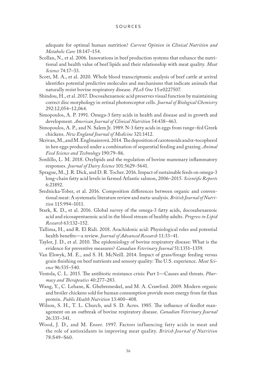adequate for optimal human nutrition? *Current Opinion in Clinical Nutrition and Metabolic Care* 18:147–154.

- Scollan, N., et al. 2006. Innovations in beef production systems that enhance the nutritional and health value of beef lipids and their relationship with meat quality. *Meat Science* 74:17–33.
- Scott, M. A., et al. 2020. Whole blood transcriptomic analysis of beef cattle at arrival identifies potential predictive molecules and mechanisms that indicate animals that naturally resist bovine respiratory disease. *PLoS One* 15:e0227507.
- Shindou, H., et al. 2017. Docosahexaenoic acid preserves visual function by maintaining correct disc morphology in retinal photoreceptor cells. *Journal of Biological Chemistry* 292:12,054–12,064.
- Simopoulos, A. P. 1991. Omega-3 fatty acids in health and disease and in growth and development. *American Journal of Clinical Nutrition* 54:438–463.
- Simopoulos, A. P., and N. Salem Jr. 1989. N-3 fatty acids in eggs from range–fed Greek chickens. *New England Journal of Medicine* 321:1412.
- Skrivan, M., and M. Englmaierová. 2014. The deposition of carotenoids and  $\alpha$ -tocopherol in hen eggs produced under a combination of sequential feeding and grazing. *Animal Feed Science and Technology* 190:79–86.
- Sordillo, L. M. 2018. Oxylipids and the regulation of bovine mammary inflammatory responses. *Journal of Dairy Science* 101:5629–5641.
- Sprague, M., J. R. Dick, and D. R. Tocher. 2016. Impact of sustainable feeds on omega-3 long-chain fatty acid levels in farmed Atlantic salmon, 2006–2015. *Scientific Reports* 6:21892.
- Srednicka-Tober, et al. 2016. Composition differences between organic and conventional meat: A systematic literature review and meta-analysis. *British Journal of Nutrition* 115:994–1011.
- Stark, K. D., et al. 2016. Global survey of the omega-3 fatty acids, docosahexaenoic acid and eicosapentaenoic acid in the blood stream of healthy adults. *Progress in Lipid Research* 63:132–152.
- Tallima, H., and R. El Ridi. 2018. Arachidonic acid: Physiological roles and potential health benefits—a review. *Journal of Advanced Research* 11:33–41.
- Taylor, J. D., et al. 2010. The epidemiology of bovine respiratory disease: What is the evidence for preventive measures? *Canadian Veterinary Journal* 51:1351–1359.
- Van Elswyk, M. E., and S. H. McNeill. 2014. Impact of grass/forage feeding versus grain finishing on beef nutrients and sensory quality: The U.S. experience. *Meat Science* 96:535–540.
- Ventola, C. L. 2015. The antibiotic resistance crisis: Part 1—Causes and threats. *Pharmacy and Therapeutics* 40:277–283.
- Wang, Y., C. Lehane, K. Ghebremeskel, and M. A. Crawford. 2009. Modern organic and broiler chickens sold for human consumption provide more energy from fat than protein. *Public Health Nutrition* 13:400–408.
- Wilson, S. H., T. L. Church, and S. D. Acres. 1985. The influence of feedlot management on an outbreak of bovine respiratory disease. *Canadian Veterinary Journal* 26:335–341.
- Wood, J. D., and M. Enser. 1997. Factors influencing fatty acids in meat and the role of antioxidants in improving meat quality. *British Journal of Nutrition* 78:S49–S60.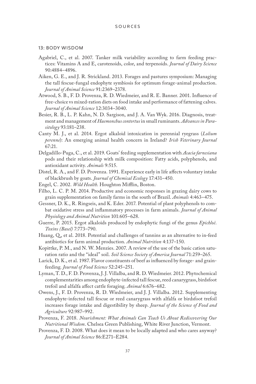## 13: BODY WISDOM

- Agabriel, C., et al. 2007. Tanker milk variability according to farm feeding practices: Vitamins A and E, carotenoids, color, and terpenoids. *Journal of Dairy Science* 90:4884–4896.
- Aiken, G. E., and J. R. Strickland. 2013. Forages and pastures symposium: Managing the tall fescue-fungal endophyte symbiosis for optimum forage-animal production. *Journal of Animal Science* 91:2369–2378.
- Atwood, S. B., F. D. Provenza, R. D. Wiedmeier, and R. E. Banner. 2001. Influence of free-choice vs mixed-ration diets on food intake and performance of fattening calves. *Journal of Animal Science* 12:3034–3040.
- Besier, R. B., L. P. Kahn, N. D. Sargison, and J. A. Van Wyk. 2016. Diagnosis, treatment and management of *Haemonchus contortus* in small ruminants. *Advances in Parasitology* 93:181–238.
- Canty M. J., et al. 2014. Ergot alkaloid intoxication in perennial ryegrass (*Lolium perenne*): An emerging animal health concern in Ireland? *Irish Veterinary Journal* 67:21.
- Delgadillo-Puga, C., et al. 2019. Goats' feeding supplementation with *Acacia farnesiana* pods and their relationship with milk composition: Fatty acids, polyphenols, and antioxidant activity. *Animals* 9:515.
- Distel, R. A., and F. D. Provenza. 1991. Experience early in life affects voluntary intake of blackbrush by goats. *Journal of Chemical Ecology* 17:431–450.
- Engel, C. 2002. *Wild Health*. Houghton Mifflin, Boston.
- Filho, L. C. P. M. 2014. Productive and economic responses in grazing dairy cows to grain supplementation on family farms in the south of Brazil. *Animals* 4:463–475.
- Gessner, D. K., R. Ringseis, and K. Eder. 2017. Potential of plant polyphenols to combat oxidative stress and inflammatory processes in farm animals. *Journal of Animal Physiology and Animal Nutrition* 101:605–628.
- Guerre, P. 2015. Ergot alkaloids produced by endophytic fungi of the genus *Epichloë*. *Toxins (Basel)* 7:773–790.
- Huang, Q., et al. 2018. Potential and challenges of tannins as an alternative to in-feed antibiotics for farm animal production. *Animal Nutrition* 4:137–150.
- Kopittke, P. M., and N. W. Menzies. 2007. A review of the use of the basic cation saturation ratio and the "ideal" soil. *Soil Science Society of America Journal* 71:259–265.
- Larick, D. K., et al. 1987. Flavor constituents of beef as influenced by forage- and grainfeeding. *Journal of Food Science* 52:245–251.
- Lyman, T. D., F. D. Provenza, J. J. Villalba, and R. D. Wiedmeier. 2012. Phytochemical complementarities among endophyte-infected tall fescue, reed canarygrass, birdsfoot trefoil and alfalfa affect cattle foraging. *Animal* 6:676–682.
- Owens, J., F. D. Provenza, R. D. Wiedmeier, and J. J. Villalba. 2012. Supplementing endophyte-infected tall fescue or reed canarygrass with alfalfa or birdsfoot trefoil increases forage intake and digestibility by sheep. *Journal of the Science of Food and Agriculture* 92:987–992.
- Provenza, F. 2018. *Nourishment: What Animals Can Teach Us About Rediscovering Our Nutritional Wisdom*. Chelsea Green Publishing, White River Junction, Vermont.
- Provenza, F. D. 2008. What does it mean to be locally adapted and who cares anyway? *Journal of Animal Science* 86:E271–E284.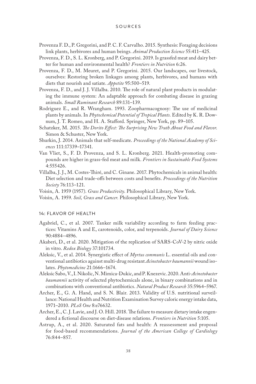- Provenza F. D., P. Gregorini, and P. C. F. Carvalho. 2015. Synthesis: Foraging decisions link plants, herbivores and human beings. *Animal Production Science* 55:411–425.
- Provenza, F. D., S. L. Kronberg, and P. Gregorini. 2019. Is grassfed meat and dairy better for human and environmental health? *Frontiers in Nutrition* 6:26.
- Provenza, F. D., M. Meuret, and P. Gregorini. 2015. Our landscapes, our livestock, ourselves: Restoring broken linkages among plants, herbivores, and humans with diets that nourish and satiate. *Appetite* 95:500–519.
- Provenza, F. D., and J. J. Villalba. 2010. The role of natural plant products in modulating the immune system: An adaptable approach for combating disease in grazing animals. *Small Ruminant Research* 89:131–139.
- Rodriguez E., and R. Wrangham. 1993. Zoopharmacognosy: The use of medicinal plants by animals. In *Phytochemical Potential of Tropical Plants.* Edited by K. R. Downum, J. T. Romeo, and H. A. Stafford. Springer, New York, pp. 89–105.
- Schatzker, M. 2015. *The Dorito Effect: The Surprising New Truth About Food and Flavor*. Simon & Schuster, New York.
- Shurkin, J. 2014. Animals that self-medicate. *Proceedings of the National Academy of Sciences* 111:17339–17341.
- Van Vliet, S., F. D. Provenza, and S. L. Kronberg. 2021. Health-promoting compounds are higher in grass-fed meat and milk. *Frontiers in Sustainable Food Systems* 4:555426.
- Villalba, J. J., M. Costes-Thiré, and C. Ginane. 2017. Phytochemicals in animal health: Diet selection and trade-offs between costs and benefits. *Proceedings of the Nutrition Society* 76:113–121.
- Voisin, A. 1959 (1957). *Grass Productivity*. Philosophical Library, New York.
- Voisin, A. 1959. *Soil, Grass and Cancer*. Philosophical Library, New York.

## 14: FLAVOR OF HEALTH

- Agabriel, C., et al. 2007. Tanker milk variability according to farm feeding practices: Vitamins A and E, carotenoids, color, and terpenoids. *Journal of Dairy Science* 90:4884–4896.
- Akaberi, D., et al. 2020. Mitigation of the replication of SARS-CoV-2 by nitric oxide in vitro. *Redox Biology* 37:101734.
- Aleksic, V., et al. 2014. Synergistic effect of *Myrtus communis* L. essential oils and conventional antibiotics against multi-drug resistant *Acinetobacter baumannii* wound isolates. *Phytomedicine* 21:1666–1674.
- Aleksic Sabo, V., I. Nikolic, N. Mimica-Dukic, and P. Knezevic. 2020. Anti-*Acinetobacter baumannii* activity of selected phytochemicals alone, in binary combinations and in combinations with conventional antibiotics. *Natural Product Research* 35:5964–5967.
- Archer, E., G. A. Hand, and S. N. Blair. 2013. Validity of U.S. nutritional surveillance: National Health and Nutrition Examination Survey caloric energy intake data, 1971–2010. *PLoS One* 8:e76632.
- Archer, E., C. J. Lavie, and J. O. Hill. 2018. The failure to measure dietary intake engendered a fictional discourse on diet-disease relations. *Frontiers in Nutrition* 5:105.
- Astrup, A., et al. 2020. Saturated fats and health: A reassessment and proposal for food-based recommendations. *Journal of the American College of Cardiology* 76:844–857.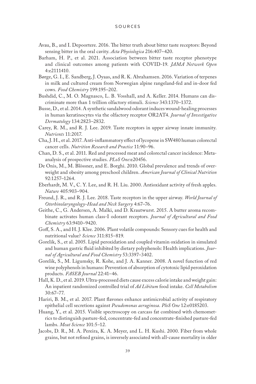- Avau, B., and I. Depoortere. 2016. The bitter truth about bitter taste receptors: Beyond sensing bitter in the oral cavity. *Acta Physiologica* 216:407–420.
- Barham, H. P., et al. 2021. Association between bitter taste receptor phenotype and clinical outcomes among patients with COVID-19. *JAMA Network Open* 4:e2111410.
- Børge, G. I., E. Sandberg, J. Oyaas, and R. K. Abrahamsen. 2016. Variation of terpenes in milk and cultured cream from Norwegian alpine rangeland-fed and in-door fed cows. *Food Chemistry* 199:195–202.
- Bushdid, C., M. O. Magnasco, L. B. Vosshall, and A. Keller. 2014. Humans can discriminate more than 1 trillion olfactory stimuli. *Science* 343:1370–1372.
- Busse, D., et al. 2014. A synthetic sandalwood odorant induces wound-healing processes in human keratinocytes via the olfactory receptor OR2AT4. *Journal of Investigative Dermatology* 134:2823–2832.
- Carey, R. M., and R. J. Lee. 2019. Taste receptors in upper airway innate immunity. *Nutrients* 11:2017.
- Cha, J. H., et al. 2017. Anti-inflammatory effect of lycopene in SW480 human colorectal cancer cells. *Nutrition Research and Practice* 11:90–96.
- Chan, D. S., et al. 2011. Red and processed meat and colorectal cancer incidence: Metaanalysis of prospective studies. *PLoS One*:e20456.
- De Onis, M., M. Blössner, and E. Borghi. 2010. Global prevalence and trends of overweight and obesity among preschool children. *American Journal of Clinical Nutrition* 92:1257–1264.
- Eberhardt, M. V., C. Y. Lee, and R. H. Liu. 2000. Antioxidant activity of fresh apples. *Nature* 405:903–904.
- Freund, J. R., and R. J. Lee. 2018. Taste receptors in the upper airway. *World Journal of Otorhinolaryngology-Head and Neck Surgery* 4:67–76.
- Geithe, C., G. Andersen, A. Malki, and D. Krautwurst. 2015. A butter aroma recombinate activates human class-I odorant receptors*. Journal of Agricultural and Food Chemistry* 63:9410–9420.
- Goff, S. A., and H. J. Klee. 2006. Plant volatile compounds: Sensory cues for health and nutritional value? *Science* 311:815–819.
- Gorelik, S., et al. 2005. Lipid peroxidation and coupled vitamin oxidation in simulated and human gastric fluid inhibited by dietary polyphenols: Health implications. *Journal of Agricultural and Food Chemistry* 53:3397–3402.
- Gorelik, S., M. Ligumsky, R. Kohe, and J. A. Kanner. 2008. A novel function of red wine polyphenols in humans: Prevention of absorption of cytotoxic lipid peroxidation products. *FASEB Journal* 22:41–46.
- Hall, K. D., et al. 2019. Ultra-processed diets cause excess calorie intake and weight gain: An inpatient randomized controlled trial of *Ad Libitum* food intake. *Cell Metabolism* 30:67–77.
- Hariri, B. M., et al. 2017. Plant flavones enhance antimicrobial activity of respiratory epithelial cell secretions against *Pseudomonas aeruginosa*. *PloS One* 12:e0185203.
- Huang, Y., et al. 2015. Visible spectroscopy on carcass fat combined with chemometrics to distinguish pasture-fed, concentrate-fed and concentrate-finished pasture-fed lambs. *Meat Science* 101:5–12.
- Jacobs, D. R., M. A. Pereira, K. A. Meyer, and L. H. Kushi. 2000. Fiber from whole grains, but not refined grains, is inversely associated with all-cause mortality in older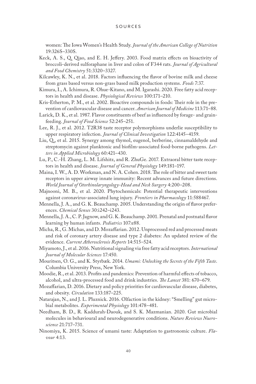women: The Iowa Women's Health Study. *Journal of the American College of Nutrition* 19:326S–330S.

- Keck, A. S., Q. Qiao, and E. H. Jeffery. 2003. Food matrix effects on bioactivity of broccoli-derived sulforaphane in liver and colon of F344 rats. *Journal of Agricultural and Food Chemistry* 51:3320–3327.
- Kilcawley, K. N., et al. 2018. Factors influencing the flavor of bovine milk and cheese from grass based versus non-grass based milk production systems. *Foods* 7:37.
- Kimura, I., A. Ichimura, R. Ohue-Kitano, and M. Igarashi. 2020. Free fatty acid receptors in health and disease. *Physiological Reviews* 100:171–210.
- Kris-Etherton, P. M., et al. 2002. Bioactive compounds in foods: Their role in the prevention of cardiovascular disease and cancer. *American Journal of Medicine* 113:71–88.
- Larick, D. K., et al. 1987. Flavor constituents of beef as influenced by forage- and grainfeeding. *Journal of Food Science* 52:245–251.
- Lee, R. J., et al. 2012. T2R38 taste receptor polymorphisms underlie susceptibility to upper respiratory infection. *Journal of Clinical Investigation* 122:4145–4159.
- Liu, Q., et al. 2015. Synergy among thymol, eugenol, berberine, cinnamaldehyde and streptomycin against planktonic and biofilm-associated food-borne pathogens. *Letters in Applied Microbiology* 60:421–430.
- Lu, P., C.-H. Zhang, L. M. Lifshitz, and R. ZhuGe. 2017. Extraoral bitter taste receptors in health and disease. *Journal of General Physiology* 149:181–197.
- Maina, I. W., A. D. Workman, and N. A. Cohen. 2018. The role of bitter and sweet taste receptors in upper airway innate immunity: Recent advances and future directions. *World Journal of Otorhinolaryngology-Head and Neck Surgery* 4:200–208.
- Majnooni, M. B., et al. 2020. Phytochemicals: Potential therapeutic interventions against coronavirus-associated lung injury. *Frontiers in Pharmacology* 11:588467.
- Mennella, J. A., and G. K. Beauchamp. 2005. Understanding the origin of flavor preferences. *Chemical Senses* 30:i242–i243.
- Mennella, J. A., C. P. Jagnow, and G. K. Beauchamp. 2001. Prenatal and postnatal flavor learning by human infants. *Pediatrics* 107:e88.
- Micha, R., G. Michas, and D. Mozaffarian. 2012. Unprocessed red and processed meats and risk of coronary artery disease and type 2 diabetes: An updated review of the evidence. *Current Atherosclerosis Reports* 14:515–524.
- Miyamoto, J., et al. 2016. Nutritional signaling via free fatty acid receptors. *International Journal of Molecular Sciences* 17:450.
- Mouritsen, O. G., and K. Styrbæk. 2014. *Umami: Unlocking the Secrets of the Fifth Taste*. Columbia University Press, New York.
- Moodie, R., et al. 2013. Profits and pandemics: Prevention of harmful effects of tobacco, alcohol, and ultra-processed food and drink industries. *The Lancet* 381: 670–679.
- Mozaffarian, D. 2016. Dietary and policy priorities for cardiovascular disease, diabetes, and obesity. *Circulation* 133:187–225.
- Natarajan, N., and J. L. Pluznick. 2016. Olfaction in the kidney: "Smelling" gut microbial metabolites. *Experimental Physiology* 101:478–481.
- Needham, B. D., R. Kaddurah-Daouk, and S. K. Mazmanian. 2020. Gut microbial molecules in behavioural and neurodegenerative conditions. *Nature Reviews Nueroscience* 21:717–731.
- Ninomiya, K. 2015. Science of umami taste: Adaptation to gastronomic culture. *Flavour* 4:13.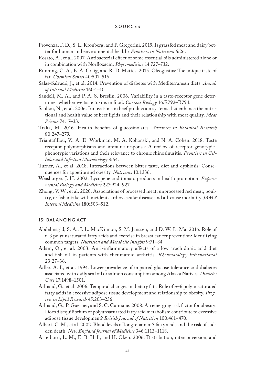- Provenza, F. D., S. L. Kronberg, and P. Gregorini. 2019. Is grassfed meat and dairy better for human and environmental health? *Frontiers in Nutrition* 6:26.
- Rosato, A., et al. 2007. Antibacterial effect of some essential oils administered alone or in combination with Norfloxacin. *Phytomedicine* 14:727–732.
- Running, C. A., B. A. Craig, and R. D. Mattes. 2015. Oleogustus: The unique taste of fat. *Chemical Senses* 40:507–516.
- Salas-Salvadó, J., et al. 2014. Prevention of diabetes with Mediterranean diets. *Annals of Internal Medicine* 160:1–10.
- Sandell, M. A., and P. A. S. Breslin. 2006. Variability in a taste-receptor gene determines whether we taste toxins in food. *Current Biology* 16:R792–R794.
- Scollan, N., et al. 2006. Innovations in beef production systems that enhance the nutritional and health value of beef lipids and their relationship with meat quality. *Meat Science* 74:17–33.
- Traka, M. 2016. Health benefits of glucosinolates. *Advances in Botanical Research* 80:247–279.
- Triantafillou, V., A. D. Workman, M. A. Kohanski, and N. A. Cohen. 2018. Taste receptor polymorphisms and immune response: A review of receptor genotypicphenotypic variations and their relevance to chronic rhinosinusitis. *Frontiers in Cellular and Infection Microbiology* 8:64.
- Turner, A., et al. 2018. Interactions between bitter taste, diet and dysbiosis: Consequences for appetite and obesity. *Nutrients* 10:1336.
- Weisburger, J. H. 2002. Lycopene and tomato products in health promotion. *Experimental Biology and Medicine* 227:924–927.
- Zhong, V. W., et al. 2020. Associations of processed meat, unprocessed red meat, poultry, or fish intake with incident cardiovascular disease and all-cause mortality. *JAMA Internal Medicine* 180:503–512.

## 15: BALANCING ACT

- Abdelmagid, S. A., J. L. MacKinnon, S. M. Janssen, and D. W. L. Ma. 2016. Role of n-3 polyunsaturated fatty acids and exercise in breast cancer prevention: Identifying common targets. *Nutrition and Metabolic Insights* 9:71–84.
- Adam, O., et al. 2003. Anti-inflammatory effects of a low arachidonic acid diet and fish oil in patients with rheumatoid arthritis. *Rheumatology International* 23:27–36.
- Adler, A. I., et al. 1994. Lower prevalence of impaired glucose tolerance and diabetes associated with daily seal oil or salmon consumption among Alaska Natives. *Diabetes Care* 17:1498–1501.
- Ailhaud, G., et al. 2006. Temporal changes in dietary fats: Role of *n*–6 polyunsaturated fatty acids in excessive adipose tissue development and relationship to obesity. *Progress in Lipid Research* 45:203–236.
- Ailhaud, G., P. Guesnet, and S. C. Cunnane. 2008. An emerging risk factor for obesity: Does disequilibrium of polyunsaturated fatty acid metabolism contribute to excessive adipose tissue development? *British Journal of Nutrition* 100:461–470.
- Albert, C. M., et al. 2002. Blood levels of long-chain n-3 fatty acids and the risk of sudden death. *New England Journal of Medicine* 346:1113–1118.
- Arterburn, L. M., E. B. Hall, and H. Oken. 2006. Distribution, interconversion, and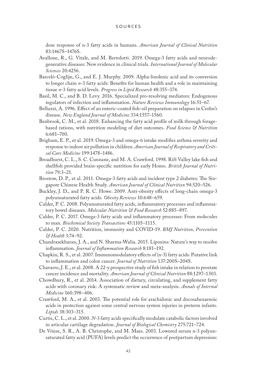dose response of n-3 fatty acids in humans. *American Journal of Clinical Nutrition* 83:1467S–1476S.

- Avallone, R., G. Vitale, and M. Bertolotti. 2019. Omega-3 fatty acids and neurodegenerative diseases: New evidence in clinical trials. *International Journal of Molecular Sciences* 20:4256.
- Barceló-Coglijn, G., and E. J. Murphy. 2009. Alpha-linolenic acid and its conversion to longer chain *n*-3 fatty acids: Benefits for human health and a role in maintaining tissue *n*-3 fatty acid levels. *Progress in Lipid Research* 48:355–374.
- Basil, M. C., and B. D. Levy. 2016. Specialized pro-resolving mediators: Endogenous regulators of infection and inflammation. *Nature Reviews Immunology* 16:51–67.
- Belluzzi, A. 1996. Effect of an enteric-coated fish-oil preparation on relapses in Crohn's disease. *New England Journal of Medicine* 334:1557–1560.
- Benbrook, C. M., et al. 2018. Enhancing the fatty acid profile of milk through foragebased rations, with nutrition modeling of diet outcomes. *Food Science & Nutrition* 6:681–700.
- Brigham, E. P., et al. 2019. Omega-3 and omega-6 intake modifies asthma severity and response to indoor air pollution in children. *American Journal of Respiratory and Critical Care Medicine* 199:1478–1486.
- Broadhurst, C. L., S. C. Cunnane, and M. A. Crawford. 1998. Rift Valley lake fish and shellfish provided brain-specific nutrition for early Homo. *British Journal of Nutrition* 79:3–21.
- Brostow, D. P., et al. 2011. Omega-3 fatty acids and incident type 2 diabetes: The Singapore Chinese Health Study. *American Journal of Clinical Nutrition* 94:520–526.
- Buckley, J. D., and P. R. C. Howe. 2009. Anti-obesity effects of long-chain omega-3 polyunsaturated fatty acids. *Obesity Reviews* 10:648–659.
- Calder, P. C. 2008. Polyunsaturated fatty acids, inflammatory processes and inflammatory bowel diseases. *Molecular Nutrition & Food Research* 52:885–897.
- Calder, P. C. 2017. Omega-3 fatty acids and inflammatory processes: From molecules to man. *Biochemical Society Transactions* 45:1105–1115.
- Calder, P. C. 2020. Nutrition, immunity and COVID-19. *BMJ Nutrition, Prevention & Health* 3:74–92.
- Chandrasekharan, J. A., and N. Sharma-Walia. 2015. Lipoxins: Nature's way to resolve inflammation. *Journal of Inflammation Research* 8:181–192.
- Chapkin, R. S., et al. 2007. Immunomodulatory effects of (n-3) fatty acids: Putative link to inflammation and colon cancer. *Journal of Nutrition* 137:200S–204S.
- Chavarro, J. E., et al. 2008. A 22-y prospective study of fish intake in relation to prostate cancer incidence and mortality. *American Journal of Clinical Nutrition* 88:1297–1303.
- Chowdhury, R., et al. 2014. Association of dietary, circulating, and supplement fatty acids with coronary risk: A systematic review and meta-analysis. *Annals of Internal Medicine* 160:398–406.
- Crawford, M. A., et al. 2003. The potential role for arachidonic and docosahexaenoic acids in protection against some central nervous system injuries in preterm infants. *Lipids* 38:303–315.
- Curtis, C. L., et al. 2000. *N*-3 fatty acids specifically modulate catabolic factors involved in articular cartilage degradation. *Journal of Biological Chemistry* 275:721–724.
- De Vriese, S. R., A. B. Christophe, and M. Maes. 2003. Lowered serum n-3 polyunsaturated fatty acid (PUFA) levels predict the occurrence of postpartum depression: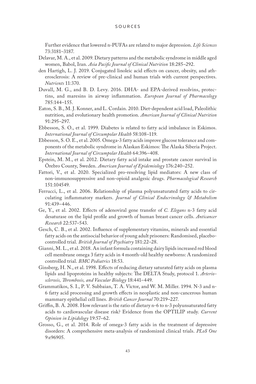Further evidence that lowered n-PUFAs are related to major depression. *Life Sciences*  73:3181–3187.

- Delavar, M. A., et al. 2009. Dietary patterns and the metabolic syndrome in middle aged women, Babol, Iran. *Asia Pacific Journal of Clinical Nutrition* 18:285–292.
- den Hartigh, L. J. 2019. Conjugated linoleic acid effects on cancer, obesity, and atherosclerosis: A review of pre-clinical and human trials with current perspectives. *Nutrients* 11:370.
- Duvall, M. G., and B. D. Levy. 2016. DHA- and EPA-derived resolvins, protectins, and maresins in airway inflammation. *European Journal of Pharmacology* 785:144–155.
- Eaton, S. B., M. J. Konner, and L. Cordain. 2010. Diet-dependent acid load, Paleolithic nutrition, and evolutionary health promotion. *American Journal of Clinical Nutrition* 91:295–297.
- Ebbesson, S. O., et al. 1999. Diabetes is related to fatty acid imbalance in Eskimos. *International Journal of Circumpolar Health* 58:108–119.
- Ebbesson, S. O. E., et al. 2005. Omega-3 fatty acids improve glucose tolerance and components of the metabolic syndrome in Alaskan Eskimos: The Alaska Siberia Project. *International Journal of Circumpolar Health* 64:396–408.
- Epstein, M. M., et al. 2012. Dietary fatty acid intake and prostate cancer survival in Örebro County, Sweden. *American Journal of Epidemiology* 176:240–252.
- Fattori, V., et al. 2020. Specialized pro-resolving lipid mediators: A new class of non-immunosuppressive and non-opioid analgesic drugs. *Pharmacological Research* 151:104549.
- Ferrucci, L., et al. 2006. Relationship of plasma polyunsaturated fatty acids to circulating inflammatory markers. *Journal of Clinical Endocrinology & Metabolism* 91:439–446.
- Ge, Y., et al. 2002. Effects of adenoviral gene transfer of *C. Elegans* n-3 fatty acid desaturase on the lipid profile and growth of human breast cancer cells. *Anticancer Research* 22:537–543.
- Gesch, C. B., et al. 2002. Influence of supplementary vitamins, minerals and essential fatty acids on the antisocial behavior of young adult prisoners: Randomised, placebocontrolled trial. *British Journal of Psychiatry* 181:22–28.
- Gianni, M. L., et al. 2018. An infant formula containing dairy lipids increased red blood cell membrane omega 3 fatty acids in 4 month-old healthy newborns: A randomized controlled trial. *BMC Pediatrics* 18:53.
- Ginsberg, H. N., et al. 1998. Effects of reducing dietary saturated fatty acids on plasma lipids and lipoproteins in healthy subjects: The DELTA Study, protocol 1. *Arteriosclerosis, Thrombosis, and Vascular Biology* 18:441–449.
- Grammatikos, S. I., P. V. Subbaian, T. A. Victor, and W. M. Miller. 1994. N-3 and n-6 fatty acid processing and growth effects in neoplastic and non-cancerous human mammary epithelial cell lines. *British Cancer Journal* 70:219–227.
- Griffin, B. A. 2008. How relevant is the ratio of dietary n-6 to n-3 polyunsaturated fatty acids to cardiovascular disease risk? Evidence from the OPTILIP study. *Current Opinion in Lipidology* 19:57–62.
- Grosso, G., et al. 2014. Role of omega-3 fatty acids in the treatment of depressive disorders: A comprehensive meta-analysis of randomized clinical trials. *PLoS One* 9:e96905.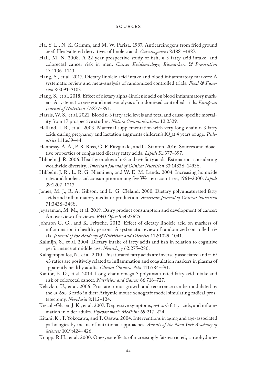- Ha, Y. L., N. K. Grimm, and M. W. Pariza. 1987. Anticarcinogens from fried ground beef: Heat-altered derivatives of linoleic acid. *Carcinogenesis* 8:1881–1887.
- Hall, M. N. 2008. A 22-year prospective study of fish, *n*-3 fatty acid intake, and colorectal cancer risk in men. *Cancer Epidemiology, Biomarkers & Prevention* 17:1136–1143.
- Hang, S., et al. 2017. Dietary linoleic acid intake and blood inflammatory markers: A systematic review and meta-analysis of randomized controlled trials. *Food & Function* 8:3091–3103.
- Hang, S., et al. 2018. Effect of dietary alpha-linolenic acid on blood inflammatory markers: A systematic review and meta-analysis of randomized controlled trials. *European Journal of Nutrition* 57:877–891.
- Harris, W. S., et al. 2021. Blood n-3 fatty acid levels and total and cause-specific mortality from 17 prospective studies. *Nature Communications* 12:2329.
- Helland, I. B., et al. 2003. Maternal supplementation with very-long-chain n-3 fatty acids during pregnancy and lactation augments children's IQ at 4 years of age. *Pediatrics* 111:e39–44.
- Hennessy, A. A., P. R. Ross, G. F. Fitzgerald, and C. Stanton. 2016. Sources and bioactive properties of conjugated dietary fatty acids. *Lipids* 51:377–397.
- Hibbeln, J. R. 2006. Healthy intakes of n-3 and n-6 fatty acids: Estimations considering worldwide diversity. *American Journal of Clinical Nutrition* 83:1483S–1493S.
- Hibbeln, J. R., L. R. G. Nieminen, and W. E. M. Lands. 2004. Increasing homicide rates and linoleic acid consumption among five Western countries, 1961–2000. *Lipids* 39:1207–1213.
- James, M. J., R. A. Gibson, and L. G. Cleland. 2000. Dietary polyunsaturated fatty acids and inflammatory mediator production. *American Journal of Clinical Nutrition* 71:343S–348S.
- Jeyaraman, M. M., et al. 2019. Dairy product consumption and development of cancer: An overview of reviews. *BMJ Open* 9:e023625.
- Johnson G. G., and K. Fritsche. 2012. Effect of dietary linoleic acid on markers of inflammation in healthy persons: A systematic review of randomized controlled trials. *Journal of the Academy of Nutrition and Dietetics* 112:1029–1041.
- Kalmijn, S., et al. 2004. Dietary intake of fatty acids and fish in relation to cognitive performance at middle age. *Neurology* 62:275–280.
- Kalogeropoulos, N., et al. 2010. Unsaturated fatty acids are inversely associated and *n*-6/ *n*3 ratios are positively related to inflammation and coagulation markers in plasma of apparently healthy adults. *Clinica Chimica Acta* 411:584–591.
- Kantor, E. D., et al. 2014. Long-chain omega-3 polyunsaturated fatty acid intake and risk of colorectal cancer. *Nutrition and Cancer* 66:716–727.
- Kelavkar, U., et al. 2006. Prostate tumor growth and recurrence can be modulated by the w-6:w-3 ratio in diet: Athymic mouse xenograft model simulating radical prostatectomy. *Neoplasia* 8:112–124.
- Kiecolt-Glaser, J. K., et al. 2007. Depressive symptoms, *n*-6:*n*-3 fatty acids, and inflammation in older adults. *Psychosomatic Medicine* 69:217–224.
- Kitani, K., T. Yokozawa, and T. Osawa. 2004. Interventions in aging and age-associated pathologies by means of nutritional approaches. *Annals of the New York Academy of Sciences* 1019:424–426.
- Knopp, R.H., et al. 2000. One-year effects of increasingly fat-restricted, carbohydrate-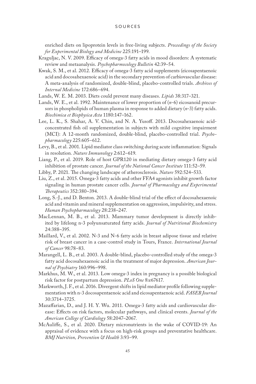enriched diets on lipoprotein levels in free-living subjects. *Proceedings of the Society for Experimental Biology and Medicine* 225:191–199.

- Kraguljac, N. V. 2009. Efficacy of omega-3 fatty acids in mood disorders: A systematic review and metaanalysis. *Psychopharmocology Bulletin* 42:39–54.
- Kwak, S. M., et al. 2012. Efficacy of omega-3 fatty acid supplements (eicosapentaenoic acid and docosahexaenoic acid) in the secondary prevention of carbiovascular disease: A meta-analysis of randomized, double-blind, placebo-controlled trials. *Archives of Internal Medicine* 172:686–694.
- Lands, W. E. M. 2003. Diets could prevent many diseases. *Lipids* 38:317–321.
- Lands, W. E., et al. 1992. Maintenance of lower proportion of (*n*-6) eicosanoid precursors in phospholipids of human plasma in response to added dietary (*n*-3) fatty acids. *Biochimica et Biophysica Acta* 1180:147–162.
- Lee, L. K., S. Shahar, A. V. Chin, and N. A. Yusoff. 2013. Docosahexaenoic acidconcentrated fish oil supplementation in subjects with mild cognitive impairment (MCI): A 12-month randomized, double-blind, placebo-controlled trial. *Psychopharmacology* 225:605–612.
- Levy, B., et al. 2001. Lipid mediator class switching during acute inflammation: Signals in resolution*. Nature Immunology* 2:612–619.
- Liang, P., et al. 2019. Role of host GPR120 in mediating dietary omega-3 fatty acid inhibition of prostate cancer. *Journal of the National Cancer Institute* 111:52–59.
- Libby, P. 2021. The changing landscape of atherosclerosis. *Nature* 592:524–533.
- Liu, Z., et al. 2015. Omega-3 fatty acids and other FFA4 agonists inhibit growth factor signaling in human prostate cancer cells. *Journal of Pharmacology and Experimental Therapeutics* 352:380–394.
- Long, S.-J., and D. Benton. 2013. A double-blind trial of the effect of docosahexaenoic acid and vitamin and mineral supplementation on aggression, impulsivity, and stress. *Human Psychopharmacology* 28:238–247.
- MacLennan, M. B., et al. 2013. Mammary tumor development is directly inhibited by lifelong n-3 polyunsaturated fatty acids. *Journal of Nutritional Biochemistry* 24:388–395.
- Maillard, V., et al. 2002. N-3 and N-6 fatty acids in breast adipose tissue and relative risk of breast cancer in a case-control study in Tours, France. *International Journal of Cancer* 98:78–83.
- Marangell, L. B., et al. 2003. A double-blind, placebo-controlled study of the omega-3 fatty acid docosahexaenoic acid in the treatment of major depression. *American Journal of Psychiatry* 160:996–998.
- Markhus, M. W., et al. 2013. Low omega-3 index in pregnancy is a possible biological risk factor for postpartum depression. *PLoS One* 8:e67617.
- Markworth, J. F., et al. 2016. Divergent shifts in lipid mediator profile following supplementation with n-3 docosapentaenoic acid and eicosapentaenoic acid. *FASEB Journal* 30:3714–3725.
- Mazaffarian, D., and J. H. Y. Wu. 2011. Omega-3 fatty acids and cardiovascular disease: Effects on risk factors, molecular pathways, and clinical events. *Journal of the American College of Cardiology* 58:2047–2067.
- McAuliffe, S., et al. 2020. Dietary micronutrients in the wake of COVID-19: An appraisal of evidence with a focus on high-risk groups and preventative healthcare. *BMJ Nutrition, Prevention & Health* 3:93–99.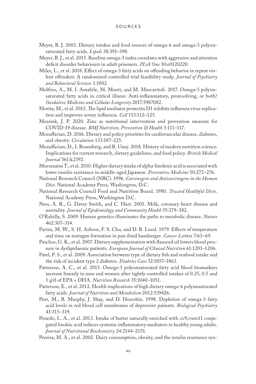- Meyer, B. J. 2003. Dietary intakes and food sources of omega-6 and omega-3 polyunsaturated fatty acids. *Lipids* 38:391–398.
- Meyer, B. J., et al. 2015. Baseline omega-3 index correlates with aggressive and attention deficit disorder behaviours in adult prisoners. *PLoS One* 10:e0120220.
- Miles, L., et al. 2018. Effect of omega-3 fatty acids on offending behavior in repeat violent offenders: A randomized controlled trial feasibility study. *Journal of Psychiatry and Behavioral Sciences* 1:1002.
- Molfino, A., M. I. Amabile, M. Monti, and M. Muscaritoli. 2017. Omega-3 polyunsaturated fatty acids in critical illness: Anti-inflammatory, proresolving, or both? *Oxidative Medicine and Cellular Longevity* 2017:5987082.
- Morita, M., et al. 2013. The lipid mediator protectin D1 inhibits influenza virus replication and improves severe influenza. *Cell* 153:112–125.
- Mossink, J. P. 2020. Zinc as nutritional intervention and prevention measure for COVID-19 disease. *BMJ Nutrition, Prevention & Health* 3:111–117.
- Mozaffarian, D. 2016. Dietary and policy priorities for cardiovascular disease, diabetes, and obesity. *Circulation* 133:187–225.
- Mozaffarian, D., I. Rosenberg, and R. Uauy. 2018. History of modern nutrition science: Implications for current research, dietary guidelines, and food policy. *British Medical Journal* 361:k2392.
- Muramatsu T., et al. 2010. Higher dietary intake of alpha-linolenic acid is associated with lower insulin resistance in middle-aged Japanese. *Preventive Medicine* 50:272–276.
- National Research Council (NRC). 1996. *Carcinogens and Anticarcinogens in the Human Diet*. National Academy Press, Washington, D.C.
- National Research Council Food and Nutrition Board. 1980. *Toward Healthful Diets*. National Academy Press, Washington D.C.
- Ness, A. R., G. Davey Smith, and C. Hart. 2001. Milk, coronary heart disease and mortality. *Journal of Epidemiology and Community Health* 55:379–382.
- O'Rahilly, S. 2009. Human genetics illuminates the paths to metabolic disease. *Nature* 462:307–314.
- Pariza, M. W., S. H. Ashoor, F. S. Chu, and D. B. Lund. 1979. Effects of temperature and time on mutagen formation in pan-fried hamburger. *Cancer Lett*ers 7:63–69.
- Paschos, G. K., et al. 2007. Dietary supplementation with flaxseed oil lowers blood pressure in dyslipidaemic patients. *European Journal of Clinical Nutrition* 61:1201–1206.
- Patel, P. S., et al. 2009. Association between type of dietary fish and seafood intake and the risk of incident type 2 diabetes. *Diabetes Care* 32:1857–1863.
- Patterson, A. C., et al. 2015. Omega-3 polyunsaturated fatty acid blood biomarkers increase linearly in men and women after tightly controlled intakes of 0.25, 0.5 and 1 g/d of EPA + DHA. *Nutrition Research* 35:1040–1051.
- Patterson, E., et al. 2012. Health implications of high dietary omega-6 polyunsaturated fatty acids. *Journal of Nutrition and Metabolism* 2012:539426.
- Peet, M., B. Murphy, J. Shay, and D. Horrobin. 1998. Depletion of omega-3 fatty acid levels in red blood cell membranes of depressive patients. *Biological Psychiatry* 43:315–319.
- Penedo, L. A., et al. 2013. Intake of butter naturally enriched with *cis*9,*trans*11 conjugated linoleic acid reduces systemic inflammatory mediators in healthy young adults. *Journal of Nutritional Biochemistry* 24:2144–2151.
- Pereira, M. A., et al. 2002. Dairy consumption, obesity, and the insulin resistance syn-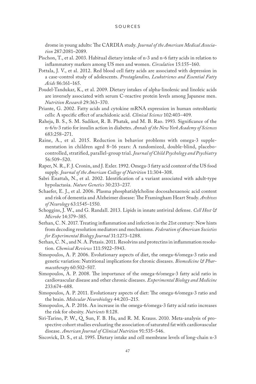drome in young adults: The CARDIA study. *Journal of the American Medical Association* 287:2081–2089.

- Pischon, T., et al. 2003. Habitual dietary intake of n-3 and n-6 fatty acids in relation to inflammatory markers among US men and women. *Circulation* 15:155–160.
- Pottala, J. V., et al. 2012. Red blood cell fatty acids are associated with depression in a case-control study of adolescents. *Prostaglandins, Leukotrienes and Essential Fatty Acids* 86:161–165.
- Poudel-Tandukar, K., et al. 2009. Dietary intakes of alpha-linolenic and linoleic acids are inversely associated with serum C-reactive protein levels among Japanese men. *Nutrition Research* 29:363–370.
- Priante, G. 2002. Fatty acids and cytokine mRNA expression in human osteoblastic cells: A specific effect of arachidonic acid. *Clinical Science* 102:403–409.
- Raheja, B. S., S. M. Sadikot, R. B. Phatak, and M. B. Rao. 1993. Significance of the n-6/n-3 ratio for insulin action in diabetes. *Annals of the New York Academy of Sciences* 683:258–271.
- Raine, A., et al. 2015. Reduction in behavior problems with omega-3 supplementation in children aged 8–16 years: A randomized, double-blind, placebocontrolled, stratified, parallel-group trial. *Journal of Child Psychology and Psychiatry* 56:509–520.
- Raper, N. R., F. J. Cronin, and J. Exler. 1992. Omega-3 fatty acid content of the US food supply. *Journal of the American College of Nutrition* 11:304–308.
- Sabri Enattah, N., et al. 2002. Identification of a variant associated with adult-type hypolactasia. *Nature Genetics* 30:233–237.
- Schaefer, E. J., et al. 2006. Plasma phosphatidylcholine docosahexaenoic acid content and risk of dementia and Alzheimer disease: The Framingham Heart Study. *Archives of Neurology* 63:1545–1550.
- Schoggins, J. W., and G. Randall. 2013. Lipids in innate antiviral defense. *Cell Host & Microbe* 14:379–385.
- Serhan, C. N. 2017. Treating inflammation and infection in the 21st century: New hints from decoding resolution mediators and mechanisms. *Federation of American Societies for Experimental Biology Journal* 31:1273–1288.
- Serhan, C. N., and N. A. Petasis. 2011. Resolvins and protectins in inflammation resolution. *Chemical Reviews* 111:5922–5943.
- Simopoulos, A. P. 2006. Evolutionary aspects of diet, the omega-6/omega-3 ratio and genetic variation: Nutritional implications for chronic diseases. *Biomedicine & Pharmacotherapy* 60:502–507.
- Simopoulos, A. P. 2008. The importance of the omega-6/omega-3 fatty acid ratio in cardiovascular disease and other chronic diseases. *Experimental Biology and Medicine* 233:674–688.
- Simopoulos, A. P. 2011. Evolutionary aspects of diet: The omega-6/omega-3 ratio and the brain. *Molecular Neurobiology* 44:203–215.
- Simopoulos, A. P. 2016. An increase in the omega-6/omega-3 fatty acid ratio increases the risk for obesity. *Nutrients* 8:128.
- Siri-Tarino, P. W., Q. Sun, F. B. Hu, and R. M. Krauss. 2010. Meta-analysis of prospective cohort studies evaluating the association of saturated fat with cardiovascular disease. *American Journal of Clinical Nutrition* 91:535–546.
- Siscovick, D. S., et al. 1995. Dietary intake and cell membrane levels of long-chain n-3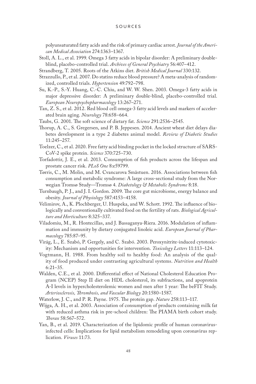polyunsaturated fatty acids and the risk of primary cardiac arrest. *Journal of the American Medical Association* 274:1363–1367.

- Stoll, A. L., et al. 1999. Omega 3 fatty acids in bipolar disorder: A preliminary doubleblind, placebo-controlled trial. *Archives of General Psychiatry* 56:407–412.
- Strandberg, T. 2005. Roots of the Atkins diet. *British Medical Journal* 330:132.
- Strazzullo, P., et al. 2007. Do statins reduce blood pressure? A meta-analysis of randomized, controlled trials. *Hypertension* 49:792–798.
- Su, K.-P., S.-Y. Huang, C.-C. Chiu, and W. W. Shen. 2003. Omega-3 fatty acids in major depressive disorder: A preliminary double-blind, placebo-controlled trial. *European Neuropsychopharmacology* 13:267–271.
- Tan, Z. S., et al. 2012. Red blood cell omega-3 fatty acid levels and markers of accelerated brain aging. *Neurology* 78:658–664.
- Taubs, G. 2001. The soft science of dietary fat. *Science* 291:2536–2545.
- Thorup, A. C., S. Gregersen, and P. B. Jeppesen. 2014. Ancient wheat diet delays diabetes development in a type 2 diabetes animal model. *Review of Diabetic Studies* 11:245–257.
- Toelzer, C., et al. 2020. Free fatty acid binding pocket in the locked structure of SARS-CoV-2 spike protein. *Science* 370:725–730.
- Torfadottir, J. E., et al. 2013. Consumption of fish products across the lifespan and prostate cancer risk. *PLoS One* 8:e59799.
- Tørris, C., M. Molin, and M. Cvancarova Småstuen. 2016. Associations between fish consumption and metabolic syndrome: A large cross-sectional study from the Norwegian Tromsø Study—Tromsø 4. *Diabetology & Metabolic Syndrome* 8:18.
- Turnbaugh, P. J., and J. I. Gordon. 2009. The core gut microbiome, energy balance and obesity. *Journal of Physiology* 587:4153–4158.
- Velimirov, A., K. Plochberger, U. Huspeka, and W. Schott. 1992. The influence of biologically and conventionally cultivated food on the fertility of rats. *Biological Agriculture and Horticulture* 8:325–337.
- Viladomiu, M., R. Hontecillas, and J. Bassaganya-Riera. 2016. Modulation of inflammation and immunity by dietary conjugated linoleic acid. *European Journal of Pharmacology* 785:87–95.
- Virág, L., E. Szabó, P. Gergely, and C. Szabó. 2003. Peroxynitrite-induced cytotoxicity: Mechanism and opportunities for intervention. *Toxicology Letters* 11:113–124.
- Vogtmann, H. 1988. From healthy soil to healthy food: An analysis of the quality of food produced under contrasting agricultural systems. *Nutrition and Health* 6:21–35.
- Walden, C.E., et al. 2000. Differential effect of National Cholesterol Education Program (NCEP) Step II diet on HDL cholesterol, its subfractions, and apoprotein A-I levels in hypercholesterolemic women and men after 1 year: The beFIT Study. *Arteriosclerosis, Thrombosis, and Vascular Biology* 20:1580–1587.
- Waterlow, J. C., and P. R. Payne. 1975. The protein gap. *Nature* 258:113–117.
- Wijga, A. H., et al. 2003. Association of consumption of products containing milk fat with reduced asthma risk in pre-school children: The PIAMA birth cohort study. *Thorax* 58:567–572.
- Yan, B., et al. 2019. Characterization of the lipidomic profile of human coronavirusinfected cells: Implications for lipid metabolism remodeling upon coronavirus replication. *Viruses* 11:73.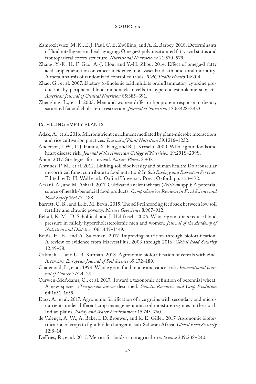- Zamroziewicz, M. K., E. J. Paul, C. E. Zwilling, and A. K. Barbey. 2018. Determinants of fluid intelligence in healthy aging: Omega-3 polyunsaturated fatty acid status and frontoparietal cortex structure. *Nutritional Neuroscience* 21:570–579.
- Zhang, Y.-F., H. F. Gao, A.-J. Hou, and Y.-H. Zhou. 2014. Effect of omega-3 fatty acid supplementation on cancer incidence, non-vascular death, and total mortality: A meta-analysis of randomized controlled trials. *BMC Public Health* 14:204.
- Zhao, G., et al. 2007. Dietary  $\alpha$ -linolenic acid inhibits proinflammatory cytokine production by peripheral blood mononuclear cells in hypercholesterolemic subjects. *American Journal of Clinical Nutrition* 85:385–391.
- Zhengling, L., et al. 2003. Men and women differ in lipoprotein response to dietary saturated fat and cholesterol restriction. *Journal of Nutrition* 133:3428–3433.

## 16: FILLING EMPTY PLANTS

- Adak, A., et al. 2016. Micronutrient enrichment mediated by plant-microbe interactions and rice cultivation practices. *Journal of Plant Nutrition* 39:1216–1232.
- Anderson, J. W., T. J. Hanna, X. Peng, and R. J. Kryscio. 2000. Whole grain foods and heart disease risk. *Journal of the American College of Nutrition* 19:291S–299S.
- Anon. 2017. Strategies for survival. *Nature Plants* 3:907.
- Antunes, P. M., et al. 2012. Linking soil biodiversity and human health: Do arbuscular mycorrhizal fungi contribute to food nutrition? In *Soil Ecology and Ecosystem Services*. Edited by D. H. Wall et al., Oxford University Press, Oxford, pp. 153–172.
- Arzani, A., and M. Ashraf. 2017. Cultivated ancient wheats (*Triticum* spp.): A potential source of health-beneficial food products. *Comprehensive Reviews in Food Science and Food Safety* 16:477–488.
- Barrett, C. B., and L. E. M. Bevis. 2015. The self-reinforcing feedback between low soil fertility and chronic poverty. *Nature Geoscience* 8:907–912.
- Behall, K. M., D. Scholfield, and J. Hallfrisch. 2006. Whole-grain diets reduce blood pressure in mildly hypercholesterolemic men and women. *Journal of the Academy of Nutrition and Dietetics* 106:1445–1449.
- Bouis, H. E., and A. Saltzman. 2017. Improving nutrition through biofortification: A review of evidence from HarvestPlus, 2003 through 2016. *Global Food Security* 12:49–58.
- Cakmak, I., and U. B. Kutman. 2018. Agronomic biofortification of cereals with zinc: A review. *European Journal of Soil Science* 69:172–180.
- Chatenoud, L., et al. 1998. Whole grain food intake and cancer risk. *International Journal of Cancer* 77:24–28.
- Curwen-McAdams, C., et al. 2017. Toward a taxonomic definition of perennial wheat: A new species x*Tritipyrum aaseae* described. *Genetic Resources and Crop Evolution* 64:1651–1659.
- Dass, A., et al. 2017. Agronomic fortification of rice grains with secondary and micronutrients under different crop management and soil moisture regimes in the north Indian plains. *Paddy and Water Environment* 15:745–760.
- de Valença, A. W., A. Bake, I. D. Brouwer, and K. E. Giller. 2017. Agronomic biofortification of crops to fight hidden hunger in sub-Saharan Africa. *Global Food Security* 12:8–14.
- DeFries, R., et al. 2015. Metrics for land-scarce agriculture. *Science* 349:238–240.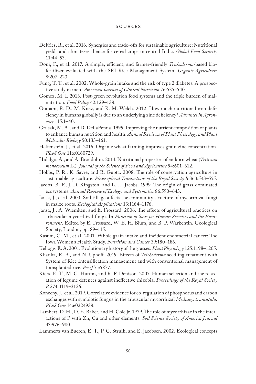- DeFries, R., et al. 2016. Synergies and trade-offs for sustainable agriculture: Nutritional yields and climate-resilience for cereal crops in central India. *Global Food Security* 11:44–53.
- Doni, F., et al. 2017. A simple, efficient, and farmer-friendly *Trichoderma*-based biofertilizer evaluated with the SRI Rice Management System. *Organic Agriculture* 8:207–223.
- Fung, T. T., et al. 2002. Whole-grain intake and the risk of type 2 diabetes: A prospective study in men. *American Journal of Clinical Nutrition* 76:535–540.
- Gómez, M. I. 2013. Post-green revolution food systems and the triple burden of malnutrition. *Food Policy* 42:129–138.
- Graham, R. D., M. Knez, and R. M. Welch. 2012. How much nutritional iron deficiency in humans globally is due to an underlying zinc deficiency? *Advances in Agronomy* 115:1–40.
- Grusak, M. A., and D. DellaPenna. 1999. Improving the nutrient composition of plants to enhance human nutrition and health. *Annual Reviews of Plant Physiology and Plant Molecular Biology* 50:133–161.
- Helfenstein, J., et al. 2016. Organic wheat farming improves grain zinc concentration. *PLoS One* 11:e0160729.
- Hidalgo, A., and A. Brandolini. 2014. Nutritional properties of einkorn wheat (*Triticum monococcum* L.). *Journal of the Science of Food and Agriculture* 94:601–612.
- Hobbs, P. R., K. Sayre, and R. Gupta. 2008. The role of conservation agriculture in sustainable agriculture. *Philosophical Transactions of the Royal Society B* 363:543–555.
- Jacobs, B. F., J. D. Kingston, and L. L. Jacobs. 1999. The origin of grass-dominated ecosystems. *Annual Review of Ecology and Systematics* 86:590–643.
- Jansa, J., et al. 2003. Soil tillage affects the community structure of mycorrhizal fungi in maize roots. *Ecological Applications* 13:1164–1176.
- Jansa, J., A. Wiemken, and E. Frossard. 2006. The effects of agricultural practices on arbuscular mycorrhizal fungi. In *Function of Soils for Human Societies and the Environment*. Edited by E. Frossard, W. E. H. Blum, and B. P. Warkentin. Geological Society, London, pp. 89–115.
- Kasum, C. M., et al. 2001. Whole grain intake and incident endometrial cancer: The Iowa Women's Health Study. *Nutrition and Cancer* 39:180–186.
- Kellogg, E. A. 2001. Evolutionary history of the grasses. *Plant Physiology* 125:1198–1205.
- Khadka, R. B., and N. Uphoff. 2019. Effects of *Trichoderma* seedling treatment with System of Rice Intensification management and with conventional management of transplanted rice. *PeerJ* 7:e5877.
- Kiers, E. T., M. G. Hutton, and R. F. Denison. 2007. Human selection and the relaxation of legume defences against ineffective rhizobia. *Proceedings of the Royal Society B* 274:3119–3126.
- Konecny, J., et al. 2019. Correlative evidence for co-regulation of phosphorus and carbon exchanges with symbiotic fungus in the arbuscular mycorrhizal *Medicago truncatula*. *PLoS One* 14:e0224938.
- Lambert, D. H., D. E. Baker, and H. Cole Jr. 1979. The role of mycorrhizae in the interactions of P with Zn, Cu and other elements. *Soil Science Society of America Journal* 43:976–980.
- Lammerts van Bueren, E. T., P. C. Struik, and E. Jacobsen. 2002. Ecological concepts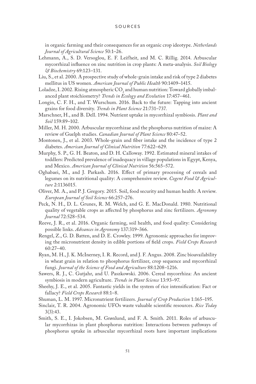in organic farming and their consequences for an organic crop ideotype. *Netherlands Journal of Agricultural Science* 50:1–26.

- Lehmann, A., S. D. Versoglou, E. F. Leifheit, and M. C. Rillig. 2014. Arbuscular mycorrhizal influence on zinc nutrition in crop plants: A meta-analysis. *Soil Biology & Biochemistry* 69:123–131.
- Liu, S., et al. 2000. A prospective study of whole-grain intake and risk of type 2 diabetes mellitus in US women. *American Journal of Public Health* 90:1409–1415.
- Loladze, I. 2002. Rising atmospheric  $\mathrm{CO}_2$  and human nutrition: Toward globally imbalanced plant stoichiometry? *Trends in Ecology and Evolution* 17:457–461.
- Longin, C. F. H., and T. Wurschum. 2016. Back to the future: Tapping into ancient grains for food diversity. *Trends in Plant Science* 21:731–737.
- Marschner, H., and B. Dell. 1994. Nutrient uptake in mycorrhizal symbiosis. *Plant and Soil* 159:89–102.
- Miller, M. H. 2000. Arbuscular mycorrhizae and the phosphorus nutrition of maize: A review of Guelph studies. *Canadian Journal of Plant Science* 80:47–52.
- Montonen, J., et al. 2003. Whole-grain and fiber intake and the incidence of type 2 diabetes. *American Journal of Clinical Nutrition* 77:622–629.
- Murphy, S. P., G. H. Beaton, and D. H. Calloway. 1992. Estimated mineral intakes of toddlers: Predicted prevalence of inadequacy in village populations in Egypt, Kenya, and Mexico. *American Journal of Clinical Nutrition* 56:565–572.
- Oghabaei, M., and J. Parkash. 2016. Effect of primary processing of cereals and legumes on its nutritional quality: A comprehensive review. *Cogent Food & Agriculture* 2:1136015.
- Oliver, M. A., and P. J. Gregory. 2015. Soil, food security and human health: A review. *European Journal of Soil Science* 66:257–276.
- Peck, N. H., D. L. Grunes, R. M. Welch, and G. E. MacDonald. 1980. Nutritional quality of vegetable crops as affected by phosphorus and zinc fertilizers. *Agronomy Journal* 72:528–534.
- Reeve, J. R., et al. 2016. Organic farming, soil health, and food quality: Considering possible links. *Advances in Agronomy* 137:319–366.
- Rengel, Z., G. D. Batten, and D. E. Crowley. 1999. Agronomic approaches for improving the micronutrient density in edible portions of field crops. *Field Crops Research* 60:27–40.
- Ryan, M. H., J. K. McInerney, I. R. Record, and J. F. Angus. 2008. Zinc bioavailability in wheat grain in relation to phosphorus fertilizer, crop sequence and mycorrhizal fungi. *Journal of the Science of Food and Agriculture* 88:1208–1216.
- Sawers, R. J., C. Gutjahr, and U. Paszkowski. 2006. Cereal mycorrhiza: An ancient symbiosis in modern agriculture. *Trends in Plant Science* 13:93–97.
- Sheehy, J. E., et al. 2005. Fantastic yields in the system of rice intensification: Fact or fallacy? *Field Crops Research* 88:1–8.
- Shuman, L. M. 1997. Micronutrient fertilizers. *Journal of Crop Production* 1:165–195.
- Sinclair, T. R. 2004. Agronomic UFOs waste valuable scientific resources. *Rice Today* 3(3):43.
- Smith, S. E., I. Jokobsen, M. Grønlund, and F. A. Smith. 2011. Roles of arbuscular mycorrhizas in plant phosphorus nutrition: Interactions between pathways of phosphorus uptake in arbuscular mycorrhizal roots have important implications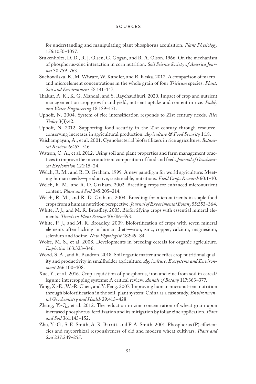for understanding and manipulating plant phosphorus acquisition. *Plant Physiology* 156:1050–1057.

- Stukenholtz, D. D., R. J. Olsen, G. Gogan, and R. A. Olson. 1966. On the mechanism of phosphorus-zinc interaction in corn nutrition. *Soil Science Society of America Journal* 30:759–763.
- Suchowilska, E., M. Wiwart, W. Kandler, and R. Krska. 2012. A comparison of macroand microelement concentrations in the whole grain of four *Triticum* species. *Plant, Soil and Environment* 58:141–147.
- Thakur, A. K., K. G. Mandal, and S. Raychaudhuri. 2020. Impact of crop and nutrient management on crop growth and yield, nutrient uptake and content in rice. *Paddy and Water Engineering* 18:139–151.
- Uphoff, N. 2004. System of rice intensification responds to 21st century needs. *Rice Today* 3(3):42.
- Uphoff, N. 2012. Supporting food security in the 21st century through resourceconserving increases in agricultural production. *Agriculture & Food Security* 1:18.
- Vaishampayan, A., et al. 2001. Cyanobacterial biofertilizers in rice agriculture. *Botanical Review* 6:453–516.
- Watson, C. A., et al. 2012. Using soil and plant properties and farm management practices to improve the micronutrient composition of food and feed. *Journal of Geochemical Exploration* 121:15–24.
- Welch, R. M., and R. D. Graham. 1999. A new paradigm for world agriculture: Meeting human needs—productive, sustainable, nutritious. *Field Crops Research* 60:1–10.
- Welch, R. M., and R. D. Graham. 2002. Breeding crops for enhanced micronutrient content. *Plant and Soil* 245:205–214.
- Welch, R. M., and R. D. Graham. 2004. Breeding for micronutrients in staple food crops from a human nutrition perspective. *Journal of Experimental Botany* 55:353–364.
- White, P. J., and M. R. Broadley. 2005. Biofortifying crops with essential mineral elements. *Trends in Plant Science* 10:586–593.
- White, P. J., and M. R. Broadley. 2009. Biofortification of crops with seven mineral elements often lacking in human diets—iron, zinc, copper, calcium, magnesium, selenium and iodine. *New Phytologist* 182:49–84.
- Wolfe, M. S., et al. 2008. Developments in breeding cereals for organic agriculture. *Euphytica* 163:323–346.
- Wood, S. A., and R. Baudron. 2018. Soil organic matter underlies crop nutritional quality and productivity in smallholder agriculture. *Agriculture, Ecosystems and Environment* 266:100–108.
- Xue, Y., et al. 2016. Crop acquisition of phosphorus, iron and zinc from soil in cereal/ legume intercropping systems: A critical review. *Annals of Botany* 117:363–377.
- Yang, X.-E., W.-R. Chen, and Y. Feng. 2007. Improving human micronutrient nutrition through biofortification in the soil–plant system: China as a case study. *Environmental Geochemistry and Health* 29:413–428.
- Zhang, Y.-Q., et al. 2012. The reduction in zinc concentration of wheat grain upon increased phosphorus-fertilization and its mitigation by foliar zinc application. *Plant and Soil* 361:143–152.
- Zhu, Y.-G., S. E. Smith, A. R. Barritt, and F. A. Smith. 2001. Phosphorus (P) efficiencies and mycorrhizal responsiveness of old and modern wheat cultivars. *Plant and Soil* 237:249–255.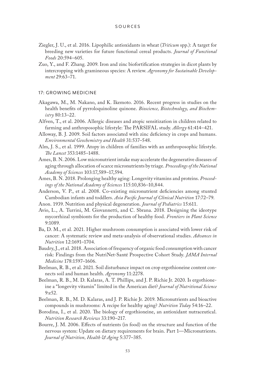- Ziegler, J. U., et al. 2016. Lipophilic antioxidants in wheat (*Triticum* spp.): A target for breeding new varieties for future functional cereal products. *Journal of Functional Foods* 20:594–605.
- Zuo, Y., and F. Zhang. 2009. Iron and zinc biofortification strategies in dicot plants by intercropping with gramineous species: A review. *Agronomy for Sustainable Development* 29:63–71.

## 17: GROWING MEDICINE

- Akagawa, M., M. Nakano, and K. Ikemoto. 2016. Recent progress in studies on the health benefits of pyrroloquinoline quinone. *Bioscience, Biotechnology, and Biochemistry* 80:13–22.
- Alfven, T., et al. 2006. Allergic diseases and atopic sensitization in children related to farming and anthroposophic lifestyle: The PARSIFAL study. *Allergy* 61:414–421.
- Alloway, B. J. 2009. Soil factors associated with zinc deficiency in crops and humans. *Environmental Geochemistry and Health* 31:537–548.
- Alm, J. S., et al. 1999. Atopy in children of families with an anthroposophic lifestyle. *The Lancet* 353:1485–1488.
- Ames, B. N. 2006. Low micronutrient intake may accelerate the degenerative diseases of aging through allocation of scarce micronutrients by triage. *Proceedings of the National Academy of Sciences* 103:17,589–17,594.
- Ames, B. N. 2018. Prolonging healthy aging: Longevity vitamins and proteins. *Proceedings of the National Academy of Sciences* 115:10,836–10,844.
- Anderson, V. P., et al. 2008. Co-existing micronutrient deficiencies among stunted Cambodian infants and toddlers. *Asia Pacific Journal of Clinical Nutrition* 17:72–79.
- Anon. 1939. Nutrition and physical degeneration. *Journal of Pediatrics* 15:611.
- Avio, L., A. Turrini, M. Giovannetti, and C. Sbrana. 2018. Designing the ideotype mycorrhizal symbionts for the production of healthy food. *Frontiers in Plant Science* 9:1089.
- Ba, D. M., et al. 2021. Higher mushroom consumption is associated with lower risk of cancer: A systematic review and meta-analysis of observational studies. *Advances in Nutrition* 12:1691–1704.
- Baudry, J., et al. 2018. Association of frequency of organic food consumption with cancer risk: Findings from the NutriNet-Santé Prospective Cohort Study. *JAMA Internal Medicine* 178:1597–1606.
- Beelman, R. B., et al. 2021. Soil disturbance impact on crop ergothioneine content connects soil and human health. *Agronomy* 11:2278.
- Beelman, R. B., M. D. Kalaras, A. T. Phillips, and J. P. Richie Jr. 2020. Is ergothioneine a "longevity vitamin" limited in the American diet? *Journal of Nutritional Science* 9:e52.
- Beelman, R. B., M. D. Kalaras, and J. P. Richie Jr. 2019. Micronutrients and bioactive compounds in mushrooms: A recipe for healthy aging? *Nutrition Today* 54:16–22.
- Borodina, I., et al. 2020. The biology of ergothioneine, an antioxidant nutraceutical. *Nutrition Research Reviews* 33:190–217.
- Bourre, J. M. 2006. Effects of nutrients (in food) on the structure and function of the nervous system: Update on dietary requirements for brain. Part 1—Micronutrients. *Journal of Nutrition, Health & Aging* 5:377–385.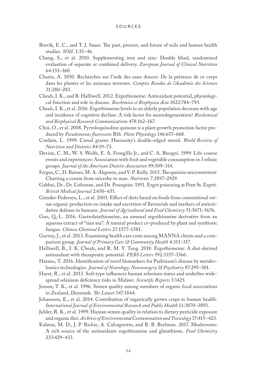- Brevik, E. C., and T. J. Sauer. The past, present, and future of soils and human health studies. *SOIL* 1:35–46.
- Chang, S., et al. 2010. Supplementing iron and zinc: Double blind, randomized evaluation of separate or combined delivery. *European Journal of Clinical Nutrition* 64:153–160.
- Chatin, A. 1850. Recherches sur l'iode des eaux douces: De la présence de ce corps dans les plantes et les animaux terrestes. *Comptes Rendus de l'Académie des Sciences*  31:280–283.
- Cheah, I. K., and B. Halliwell. 2012. Ergothioneine: Antioxidant potential, physiological function and role in disease. *Biochimica et Biophysica Acta* 1822:784–793.
- Cheah, I. K., et al. 2016. Ergothioneine levels in an elderly population decrease with age and incidence of cognitive decline: A risk factor for neurodegeneration? *Biochemical and Biophysical Research Communications* 478:162–167.
- Choi, O., et al. 2008. Pyrroloquinoline quinone is a plant growth promotion factor produced by *Pseudomonas fluorescens* B16. *Plant Physiology* 146:657–668.
- Cordain, L. 1999. Cereal grains: Humanity's double-edged sword. *World Review of Nutrition and Dietetics* 84:19–73.
- Devine, C. M., W. S. Wolfe, E. A. Frongillo Jr., and C. A. Bisogni. 1999. Life-course events and experiences: Association with fruit and vegetable consumption in 3 ethnic groups. *Journal of the American Dietetic Association* 99:309–314.
- Fergus, C., D. Barnes, M. A. Alqasem, and V. P. Kelly. 2015. The queuine micronutrient: Charting a course from microbe to man. *Nutrients* 7:2897–2929.
- Gabbai, Dr., Dr. Lisbonne, and Dr. Pourquier. 1951. Ergot poisoning at Pont St. Esprit. *British Medical Journal* 2:650–651.
- Grinder-Pedersen, L., et al. 2003. Effect of diets based on foods from conventional versus organic production on intake and excretion of flavonoids and markers of antioxidative defense in humans. *Journal of Agricultural and Food Chemistry* 51:5671–5676.
- Guo, Q.-L. 2016. Gastrolatathioneine, an unusual ergothioneine derivative from an aqueous extract of "tian ma": A natural product co-produced by plant and symbiotic fungus. *Chinese Chemical Letters* 27:1577–1581.
- Gurvey, J., et al. 2013. Examining health care costs among MANNA clients and a comparison group. *Journal of Primary Care & Community Health* 4:311–317.
- Halliwell, B., I. K. Cheah, and R. M. Y. Tang. 2018. Ergothioneine: A diet-derived antioxidant with therapeutic potential. *FEBS Letters* 592:3357–3366.
- Hatano, T. 2016. Identification of novel biomarkers for Parkinson's disease by metabolomics technologies. *Journal of Neurology, Neurosurgery & Psychiatry* 87:295–301.
- Hurst, R., et al. 2013. Soil-type influences human selenium status and underlies widespread selenium deficiency risks in Malawi. *Scientific Reports* 3:1425.
- Jensen, T. K., et al. 1996. Semen quality among members of organic food associations in Zealand, Denmark. *The Lancet* 347:1844.
- Johansson, E., et al. 2014. Contribution of organically grown crops to human health. *International Journal of Environmental Research and Public Health* 11:3870–3893.
- Juhler, R. K., et al. 1999. Human semen quality in relation to dietary pesticide exposure and organic diet. *Archives of Environmental Contamination and Toxicology* 37:415–423.
- Kalaras, M. D., J. P. Richie, A. Calcagnotto, and R. B. Beelman. 2017. Mushrooms: A rich source of the antioxidants ergothioneine and glutathione. *Food Chemistry* 233:429–433.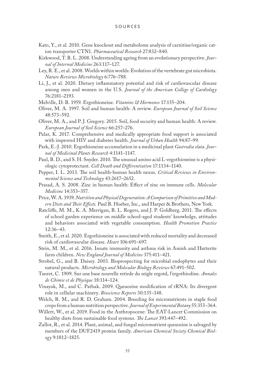- Kato, Y., et al. 2010. Gene knockout and metabolome analysis of carnitine/organic cation transporter CTN1. *Pharmaceutical Research* 27:832–840.
- Kirkwood, T. B. L. 2008. Understanding ageing from an evolutionary perspective. *Journal of Internal Medicine* 263:117–127.
- Ley, R. E., et al. 2008. Worlds within worlds: Evolution of the vertebrate gut microbiota. *Nature Reviews Microbiology* 6:776–788.
- Li, J., et al. 2020. Dietary inflammatory potential and risk of cardiovascular disease among men and women in the U.S. *Journal of the American College of Cardiology*  76:2181–2193.
- Melville, D. B. 1959. Ergothioneine. *Vitamins & Hormones* 17:155–204.
- Oliver, M. A. 1997. Soil and human health: A review. *European Journal of Soil Science* 48:573–592.
- Oliver, M. A., and P. J. Gregory. 2015. Soil, food security and human health: A review. *European Journal of Soil Science* 66:257–276.
- Palar, K. 2017. Comprehensive and medically appropriate food support is associated with improved HIV and diabetes health. *Journal of Urban Health* 94:87–99.
- Park, E.-J. 2010. Ergothioneine accumulation in a medicinal plant *Gastrodia elata*. *Journal of Medicinal Plants Research* 4:1141–1147.
- Paul, B. D., and S. H. Snyder. 2010. The unusual amino acid L-ergothioneine is a physiologic cytoprotectant. *Cell Death and Differentiation* 17:1134–1140.
- Pepper, I. L. 2013. The soil health-human health nexus. *Critical Reviews in Environmental Science and Technology* 43:2617–2652.
- Prasad, A. S. 2008. Zinc in human health: Effect of zinc on immune cells. *Molecular Medicine* 14:353–357.
- Price, W. A. 1939. *Nutrition and Physical Degeneration: A Comparison of Primitive and Modern Diets and Their Effects.* Paul B. Hoeber, Inc., and Harper & Brothers, New York.
- Ratcliffe, M. M., K. A. Merrigan, B. L. Rogers, and J. P. Goldberg. 2011. The effects of school garden experience on middle school-aged students' knowledge, attitudes and behaviors associated with vegetable consumption. *Health Promotion Practice* 12:36–43.
- Smith, E., et al. 2020. Ergothioneine is associated with reduced mortality and decreased risk of cardiovascular disease. *Heart* 106:691–697.
- Stein, M. M., et al. 2016. Innate immunity and asthma risk in Amish and Hutterite farm children. *New England Journal of Medicine* 375:411–421.
- Strobel, G., and B. Daisey. 2003. Bioprospecting for microbial endophytes and their natural products. *Microbiology and Molecular Biology Reviews* 67:491–502.
- Tanret, C. 1909. Sur une base nouvelle retirde du seigle ergotd, l'ergothiodine. *Annales de Chimie et de Physique* 18:114–124.
- Vinayak, M., and C. Pathak. 2009. Queuosine modification of tRNA: Its divergent role in cellular machinery. *Bioscience Reports* 30:135–148.
- Welch, R. M., and R. D. Graham. 2004. Breeding for micronutrients in staple food crops from a human nutrition perspective. *Journal of Experimental Botany* 55:353–364.
- Willett, W., et al. 2019. Food in the Anthropocene: The EAT-Lancet Commission on healthy diets from sustainable food systems. *The Lancet* 393:447–492.
- Zallot, R., et al. 2014. Plant, animal, and fungal micronutrient queuosine is salvaged by members of the DUF2419 protein family. *American Chemical Society Chemical Biology* 9:1812–1825.